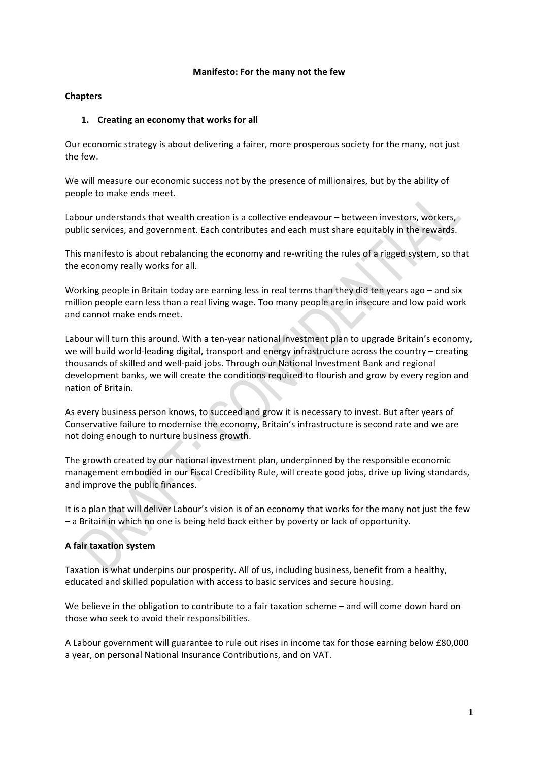### **Manifesto: For the many not the few**

# **Chapters**

## **1.** Creating an economy that works for all

Our economic strategy is about delivering a fairer, more prosperous society for the many, not just the few.

We will measure our economic success not by the presence of millionaires, but by the ability of people to make ends meet.

Labour understands that wealth creation is a collective endeavour – between investors, workers, public services, and government. Each contributes and each must share equitably in the rewards.

This manifesto is about rebalancing the economy and re-writing the rules of a rigged system, so that the economy really works for all.

Working people in Britain today are earning less in real terms than they did ten years ago – and six million people earn less than a real living wage. Too many people are in insecure and low paid work and cannot make ends meet.

Labour will turn this around. With a ten-year national investment plan to upgrade Britain's economy, we will build world-leading digital, transport and energy infrastructure across the country - creating thousands of skilled and well-paid jobs. Through our National Investment Bank and regional development banks, we will create the conditions required to flourish and grow by every region and nation of Britain. 

As every business person knows, to succeed and grow it is necessary to invest. But after years of Conservative failure to modernise the economy, Britain's infrastructure is second rate and we are not doing enough to nurture business growth.

The growth created by our national investment plan, underpinned by the responsible economic management embodied in our Fiscal Credibility Rule, will create good jobs, drive up living standards, and improve the public finances.

It is a plan that will deliver Labour's vision is of an economy that works for the many not just the few - a Britain in which no one is being held back either by poverty or lack of opportunity.

### **A fair taxation system**

Taxation is what underpins our prosperity. All of us, including business, benefit from a healthy, educated and skilled population with access to basic services and secure housing.

We believe in the obligation to contribute to a fair taxation scheme – and will come down hard on those who seek to avoid their responsibilities.

A Labour government will guarantee to rule out rises in income tax for those earning below £80,000 a year, on personal National Insurance Contributions, and on VAT.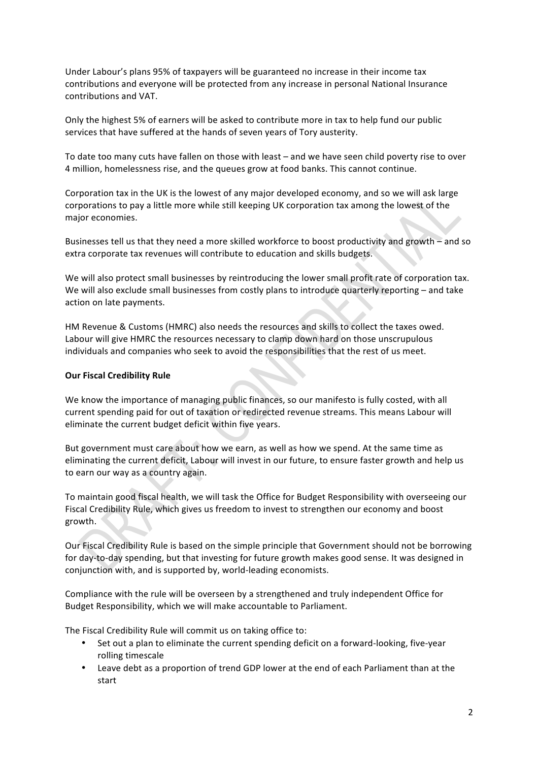Under Labour's plans 95% of taxpayers will be guaranteed no increase in their income tax contributions and everyone will be protected from any increase in personal National Insurance contributions and VAT.

Only the highest 5% of earners will be asked to contribute more in tax to help fund our public services that have suffered at the hands of seven years of Tory austerity.

To date too many cuts have fallen on those with least – and we have seen child poverty rise to over 4 million, homelessness rise, and the queues grow at food banks. This cannot continue.

Corporation tax in the UK is the lowest of any major developed economy, and so we will ask large corporations to pay a little more while still keeping UK corporation tax among the lowest of the major economies.

Businesses tell us that they need a more skilled workforce to boost productivity and growth – and so extra corporate tax revenues will contribute to education and skills budgets.

We will also protect small businesses by reintroducing the lower small profit rate of corporation tax. We will also exclude small businesses from costly plans to introduce quarterly reporting – and take action on late payments.

HM Revenue & Customs (HMRC) also needs the resources and skills to collect the taxes owed. Labour will give HMRC the resources necessary to clamp down hard on those unscrupulous individuals and companies who seek to avoid the responsibilities that the rest of us meet.

### **Our Fiscal Credibility Rule**

We know the importance of managing public finances, so our manifesto is fully costed, with all current spending paid for out of taxation or redirected revenue streams. This means Labour will eliminate the current budget deficit within five years.

But government must care about how we earn, as well as how we spend. At the same time as eliminating the current deficit, Labour will invest in our future, to ensure faster growth and help us to earn our way as a country again.

To maintain good fiscal health, we will task the Office for Budget Responsibility with overseeing our Fiscal Credibility Rule, which gives us freedom to invest to strengthen our economy and boost growth.

Our Fiscal Credibility Rule is based on the simple principle that Government should not be borrowing for day-to-day spending, but that investing for future growth makes good sense. It was designed in conjunction with, and is supported by, world-leading economists.

Compliance with the rule will be overseen by a strengthened and truly independent Office for Budget Responsibility, which we will make accountable to Parliament.

The Fiscal Credibility Rule will commit us on taking office to:

- Set out a plan to eliminate the current spending deficit on a forward-looking, five-year rolling timescale
- Leave debt as a proportion of trend GDP lower at the end of each Parliament than at the start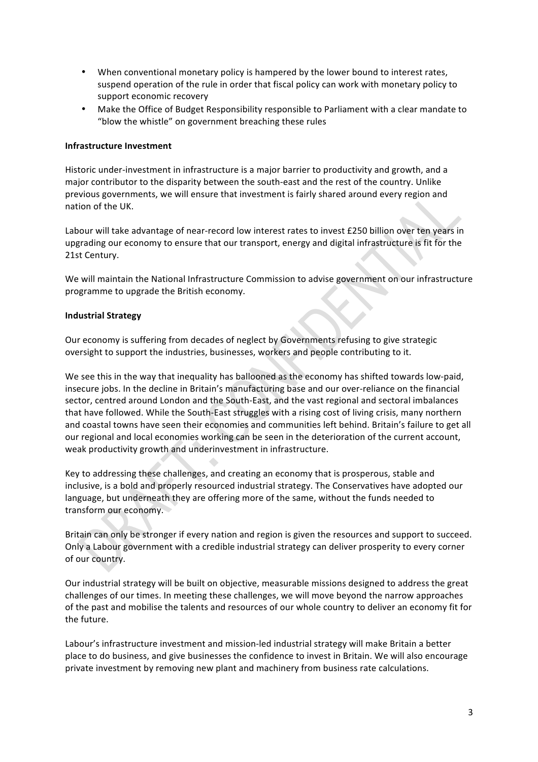- When conventional monetary policy is hampered by the lower bound to interest rates, suspend operation of the rule in order that fiscal policy can work with monetary policy to support economic recovery
- Make the Office of Budget Responsibility responsible to Parliament with a clear mandate to "blow the whistle" on government breaching these rules

## **Infrastructure Investment**

Historic under-investment in infrastructure is a major barrier to productivity and growth, and a major contributor to the disparity between the south-east and the rest of the country. Unlike previous governments, we will ensure that investment is fairly shared around every region and nation of the UK.

Labour will take advantage of near-record low interest rates to invest £250 billion over ten years in upgrading our economy to ensure that our transport, energy and digital infrastructure is fit for the 21st Century.

We will maintain the National Infrastructure Commission to advise government on our infrastructure programme to upgrade the British economy.

# **Industrial Strategy**

Our economy is suffering from decades of neglect by Governments refusing to give strategic oversight to support the industries, businesses, workers and people contributing to it.

We see this in the way that inequality has ballooned as the economy has shifted towards low-paid, insecure jobs. In the decline in Britain's manufacturing base and our over-reliance on the financial sector, centred around London and the South-East, and the vast regional and sectoral imbalances that have followed. While the South-East struggles with a rising cost of living crisis, many northern and coastal towns have seen their economies and communities left behind. Britain's failure to get all our regional and local economies working can be seen in the deterioration of the current account, weak productivity growth and underinvestment in infrastructure.

Key to addressing these challenges, and creating an economy that is prosperous, stable and inclusive, is a bold and properly resourced industrial strategy. The Conservatives have adopted our language, but underneath they are offering more of the same, without the funds needed to transform our economy.

Britain can only be stronger if every nation and region is given the resources and support to succeed. Only a Labour government with a credible industrial strategy can deliver prosperity to every corner of our country.

Our industrial strategy will be built on objective, measurable missions designed to address the great challenges of our times. In meeting these challenges, we will move beyond the narrow approaches of the past and mobilise the talents and resources of our whole country to deliver an economy fit for the future.

Labour's infrastructure investment and mission-led industrial strategy will make Britain a better place to do business, and give businesses the confidence to invest in Britain. We will also encourage private investment by removing new plant and machinery from business rate calculations.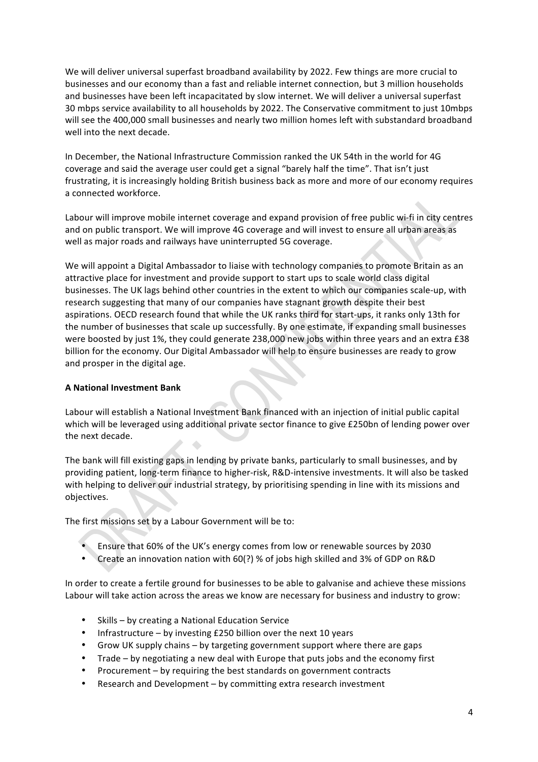We will deliver universal superfast broadband availability by 2022. Few things are more crucial to businesses and our economy than a fast and reliable internet connection, but 3 million households and businesses have been left incapacitated by slow internet. We will deliver a universal superfast 30 mbps service availability to all households by 2022. The Conservative commitment to just 10mbps will see the 400,000 small businesses and nearly two million homes left with substandard broadband well into the next decade.

In December, the National Infrastructure Commission ranked the UK 54th in the world for 4G coverage and said the average user could get a signal "barely half the time". That isn't just frustrating, it is increasingly holding British business back as more and more of our economy requires a connected workforce.

Labour will improve mobile internet coverage and expand provision of free public wi-fi in city centres and on public transport. We will improve 4G coverage and will invest to ensure all urban areas as well as major roads and railways have uninterrupted 5G coverage.

We will appoint a Digital Ambassador to liaise with technology companies to promote Britain as an attractive place for investment and provide support to start ups to scale world class digital businesses. The UK lags behind other countries in the extent to which our companies scale-up, with research suggesting that many of our companies have stagnant growth despite their best aspirations. OECD research found that while the UK ranks third for start-ups, it ranks only 13th for the number of businesses that scale up successfully. By one estimate, if expanding small businesses were boosted by just 1%, they could generate 238,000 new jobs within three years and an extra £38 billion for the economy. Our Digital Ambassador will help to ensure businesses are ready to grow and prosper in the digital age.

# **A National Investment Bank**

Labour will establish a National Investment Bank financed with an injection of initial public capital which will be leveraged using additional private sector finance to give £250bn of lending power over the next decade.

The bank will fill existing gaps in lending by private banks, particularly to small businesses, and by providing patient, long-term finance to higher-risk, R&D-intensive investments. It will also be tasked with helping to deliver our industrial strategy, by prioritising spending in line with its missions and objectives.

The first missions set by a Labour Government will be to:

- Ensure that 60% of the UK's energy comes from low or renewable sources by 2030
- Create an innovation nation with  $60(?)$  % of jobs high skilled and 3% of GDP on R&D

In order to create a fertile ground for businesses to be able to galvanise and achieve these missions Labour will take action across the areas we know are necessary for business and industry to grow:

- Skills by creating a National Education Service
- Infrastructure  $-$  by investing £250 billion over the next 10 years
- Grow UK supply chains by targeting government support where there are gaps
- Trade by negotiating a new deal with Europe that puts jobs and the economy first
- Procurement  $-$  by requiring the best standards on government contracts
- Research and Development by committing extra research investment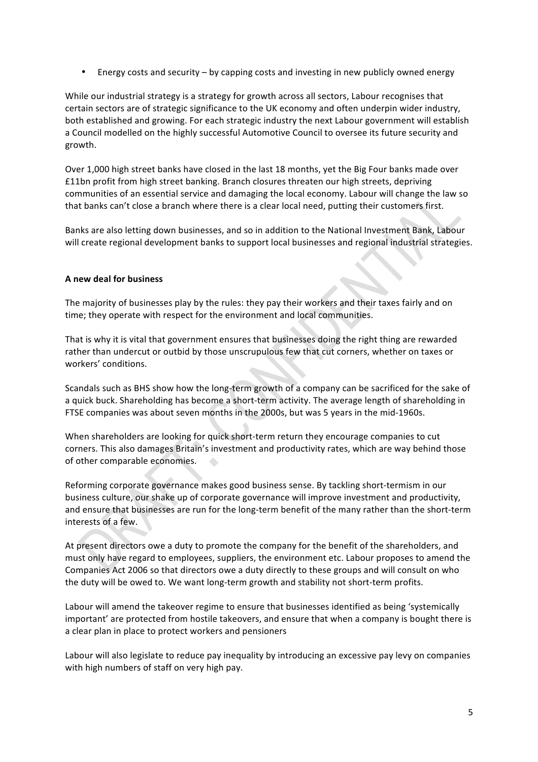• Energy costs and security – by capping costs and investing in new publicly owned energy

While our industrial strategy is a strategy for growth across all sectors, Labour recognises that certain sectors are of strategic significance to the UK economy and often underpin wider industry, both established and growing. For each strategic industry the next Labour government will establish a Council modelled on the highly successful Automotive Council to oversee its future security and growth.

Over 1,000 high street banks have closed in the last 18 months, yet the Big Four banks made over £11bn profit from high street banking. Branch closures threaten our high streets, depriving communities of an essential service and damaging the local economy. Labour will change the law so that banks can't close a branch where there is a clear local need, putting their customers first.

Banks are also letting down businesses, and so in addition to the National Investment Bank, Labour will create regional development banks to support local businesses and regional industrial strategies.

### **A new deal for business**

The majority of businesses play by the rules: they pay their workers and their taxes fairly and on time; they operate with respect for the environment and local communities.

That is why it is vital that government ensures that businesses doing the right thing are rewarded rather than undercut or outbid by those unscrupulous few that cut corners, whether on taxes or workers' conditions.

Scandals such as BHS show how the long-term growth of a company can be sacrificed for the sake of a quick buck. Shareholding has become a short-term activity. The average length of shareholding in FTSE companies was about seven months in the 2000s, but was 5 years in the mid-1960s.

When shareholders are looking for quick short-term return they encourage companies to cut corners. This also damages Britain's investment and productivity rates, which are way behind those of other comparable economies.  $\langle \rangle$ 

Reforming corporate governance makes good business sense. By tackling short-termism in our business culture, our shake up of corporate governance will improve investment and productivity, and ensure that businesses are run for the long-term benefit of the many rather than the short-term interests of a few.

At present directors owe a duty to promote the company for the benefit of the shareholders, and must only have regard to employees, suppliers, the environment etc. Labour proposes to amend the Companies Act 2006 so that directors owe a duty directly to these groups and will consult on who the duty will be owed to. We want long-term growth and stability not short-term profits.

Labour will amend the takeover regime to ensure that businesses identified as being 'systemically important' are protected from hostile takeovers, and ensure that when a company is bought there is a clear plan in place to protect workers and pensioners

Labour will also legislate to reduce pay inequality by introducing an excessive pay levy on companies with high numbers of staff on very high pay.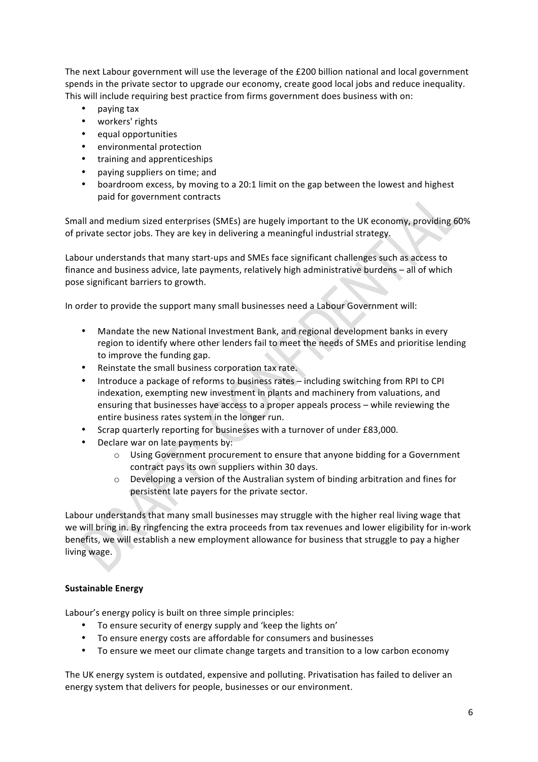The next Labour government will use the leverage of the £200 billion national and local government spends in the private sector to upgrade our economy, create good local jobs and reduce inequality. This will include requiring best practice from firms government does business with on:

- $\bullet$  paying tax
- workers' rights
- equal opportunities
- environmental protection
- training and apprenticeships
- paying suppliers on time; and
- boardroom excess, by moving to a 20:1 limit on the gap between the lowest and highest paid for government contracts

Small and medium sized enterprises (SMEs) are hugely important to the UK economy, providing 60% of private sector jobs. They are key in delivering a meaningful industrial strategy.

Labour understands that many start-ups and SMEs face significant challenges such as access to finance and business advice, late payments, relatively high administrative burdens – all of which pose significant barriers to growth.

In order to provide the support many small businesses need a Labour Government will:

- Mandate the new National Investment Bank, and regional development banks in every region to identify where other lenders fail to meet the needs of SMEs and prioritise lending to improve the funding gap.
- Reinstate the small business corporation tax rate.
- Introduce a package of reforms to business rates including switching from RPI to CPI indexation, exempting new investment in plants and machinery from valuations, and ensuring that businesses have access to a proper appeals process - while reviewing the entire business rates system in the longer run.
- Scrap quarterly reporting for businesses with a turnover of under £83,000.
- Declare war on late payments by:
	- $\circ$  Using Government procurement to ensure that anyone bidding for a Government contract pays its own suppliers within 30 days.
	- $\circ$  Developing a version of the Australian system of binding arbitration and fines for persistent late payers for the private sector.

Labour understands that many small businesses may struggle with the higher real living wage that we will bring in. By ringfencing the extra proceeds from tax revenues and lower eligibility for in-work benefits, we will establish a new employment allowance for business that struggle to pay a higher living wage.

# **Sustainable Energy**

Labour's energy policy is built on three simple principles:

- To ensure security of energy supply and 'keep the lights on'
- To ensure energy costs are affordable for consumers and businesses
- To ensure we meet our climate change targets and transition to a low carbon economy

The UK energy system is outdated, expensive and polluting. Privatisation has failed to deliver an energy system that delivers for people, businesses or our environment.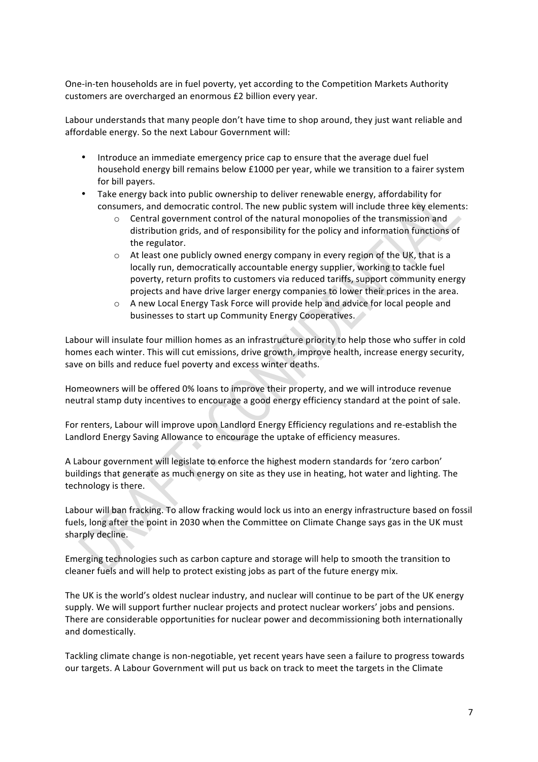One-in-ten households are in fuel poverty, yet according to the Competition Markets Authority customers are overcharged an enormous £2 billion every year.

Labour understands that many people don't have time to shop around, they just want reliable and affordable energy. So the next Labour Government will:

- Introduce an immediate emergency price cap to ensure that the average duel fuel household energy bill remains below £1000 per year, while we transition to a fairer system for bill payers.
- Take energy back into public ownership to deliver renewable energy, affordability for consumers, and democratic control. The new public system will include three key elements:
	- $\circ$  Central government control of the natural monopolies of the transmission and distribution grids, and of responsibility for the policy and information functions of the regulator.
	- $\circ$  At least one publicly owned energy company in every region of the UK, that is a locally run, democratically accountable energy supplier, working to tackle fuel poverty, return profits to customers via reduced tariffs, support community energy projects and have drive larger energy companies to lower their prices in the area.
	- $\circ$  A new Local Energy Task Force will provide help and advice for local people and businesses to start up Community Energy Cooperatives.

Labour will insulate four million homes as an infrastructure priority to help those who suffer in cold homes each winter. This will cut emissions, drive growth, improve health, increase energy security, save on bills and reduce fuel poverty and excess winter deaths.

Homeowners will be offered 0% loans to improve their property, and we will introduce revenue neutral stamp duty incentives to encourage a good energy efficiency standard at the point of sale.

For renters, Labour will improve upon Landlord Energy Efficiency regulations and re-establish the Landlord Energy Saving Allowance to encourage the uptake of efficiency measures.

A Labour government will legislate to enforce the highest modern standards for 'zero carbon' buildings that generate as much energy on site as they use in heating, hot water and lighting. The technology is there.

Labour will ban fracking. To allow fracking would lock us into an energy infrastructure based on fossil fuels, long after the point in 2030 when the Committee on Climate Change says gas in the UK must sharply decline.

Emerging technologies such as carbon capture and storage will help to smooth the transition to cleaner fuels and will help to protect existing jobs as part of the future energy mix.

The UK is the world's oldest nuclear industry, and nuclear will continue to be part of the UK energy supply. We will support further nuclear projects and protect nuclear workers' jobs and pensions. There are considerable opportunities for nuclear power and decommissioning both internationally and domestically.

Tackling climate change is non-negotiable, yet recent years have seen a failure to progress towards our targets. A Labour Government will put us back on track to meet the targets in the Climate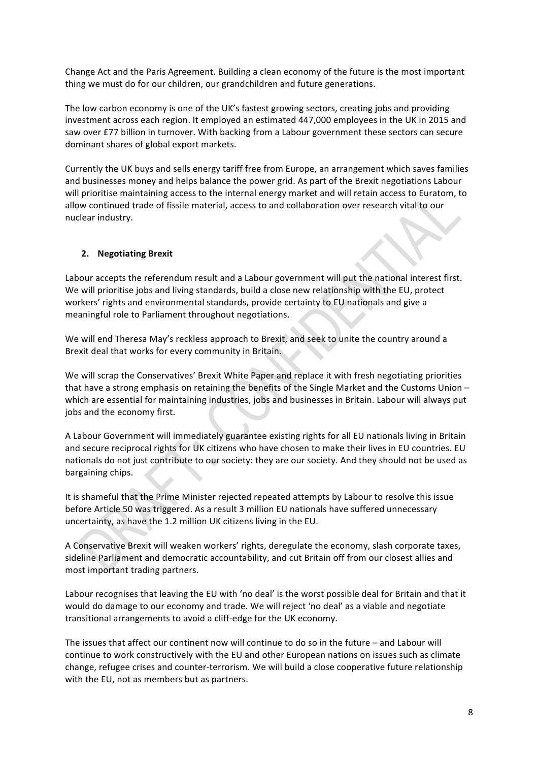Change Act and the Paris Agreement. Building a clean economy of the future is the most important thing we must do for our children, our grandchildren and future generations.

The low carbon economy is one of the UK's fastest growing sectors, creating jobs and providing investment across each region. It employed an estimated 447,000 employees in the UK in 2015 and saw over £77 billion in turnover. With backing from a Labour government these sectors can secure dominant shares of global export markets.

Currently the UK buys and sells energy tariff free from Europe, an arrangement which saves families and businesses money and helps balance the power grid. As part of the Brexit negotiations Labour will prioritise maintaining access to the internal energy market and will retain access to Euratom, to allow continued trade of fissile material, access to and collaboration over research vital to our nuclear industry.

# **2. Negotiating Brexit**

Labour accepts the referendum result and a Labour government will put the national interest first. We will prioritise jobs and living standards, build a close new relationship with the EU, protect workers' rights and environmental standards, provide certainty to EU nationals and give a meaningful role to Parliament throughout negotiations.

We will end Theresa May's reckless approach to Brexit, and seek to unite the country around a Brexit deal that works for every community in Britain.

We will scrap the Conservatives' Brexit White Paper and replace it with fresh negotiating priorities that have a strong emphasis on retaining the benefits of the Single Market and the Customs Union – which are essential for maintaining industries, jobs and businesses in Britain. Labour will always put jobs and the economy first.

A Labour Government will immediately guarantee existing rights for all EU nationals living in Britain and secure reciprocal rights for UK citizens who have chosen to make their lives in EU countries. EU nationals do not just contribute to our society: they are our society. And they should not be used as bargaining chips.

It is shameful that the Prime Minister rejected repeated attempts by Labour to resolve this issue before Article 50 was triggered. As a result 3 million EU nationals have suffered unnecessary uncertainty, as have the 1.2 million UK citizens living in the EU.

A Conservative Brexit will weaken workers' rights, deregulate the economy, slash corporate taxes, sideline Parliament and democratic accountability, and cut Britain off from our closest allies and most important trading partners.

Labour recognises that leaving the EU with 'no deal' is the worst possible deal for Britain and that it would do damage to our economy and trade. We will reject 'no deal' as a viable and negotiate transitional arrangements to avoid a cliff-edge for the UK economy.

The issues that affect our continent now will continue to do so in the future – and Labour will continue to work constructively with the EU and other European nations on issues such as climate change, refugee crises and counter-terrorism. We will build a close cooperative future relationship with the EU, not as members but as partners.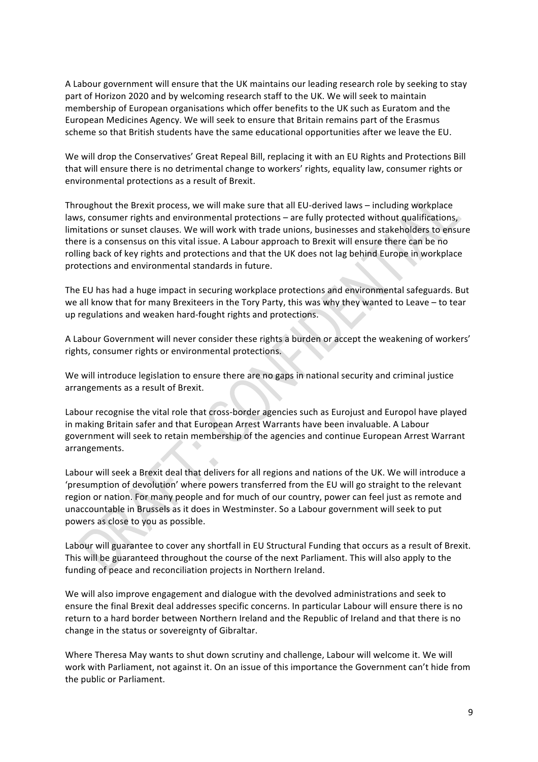A Labour government will ensure that the UK maintains our leading research role by seeking to stay part of Horizon 2020 and by welcoming research staff to the UK. We will seek to maintain membership of European organisations which offer benefits to the UK such as Euratom and the European Medicines Agency. We will seek to ensure that Britain remains part of the Erasmus scheme so that British students have the same educational opportunities after we leave the EU.

We will drop the Conservatives' Great Repeal Bill, replacing it with an EU Rights and Protections Bill that will ensure there is no detrimental change to workers' rights, equality law, consumer rights or environmental protections as a result of Brexit.

Throughout the Brexit process, we will make sure that all EU-derived laws – including workplace laws, consumer rights and environmental protections – are fully protected without qualifications, limitations or sunset clauses. We will work with trade unions, businesses and stakeholders to ensure there is a consensus on this vital issue. A Labour approach to Brexit will ensure there can be no rolling back of key rights and protections and that the UK does not lag behind Europe in workplace protections and environmental standards in future.

The EU has had a huge impact in securing workplace protections and environmental safeguards. But we all know that for many Brexiteers in the Tory Party, this was why they wanted to Leave – to tear up regulations and weaken hard-fought rights and protections.

A Labour Government will never consider these rights a burden or accept the weakening of workers' rights, consumer rights or environmental protections.

We will introduce legislation to ensure there are no gaps in national security and criminal justice arrangements as a result of Brexit.

Labour recognise the vital role that cross-border agencies such as Eurojust and Europol have played in making Britain safer and that European Arrest Warrants have been invaluable. A Labour government will seek to retain membership of the agencies and continue European Arrest Warrant arrangements. 

Labour will seek a Brexit deal that delivers for all regions and nations of the UK. We will introduce a 'presumption of devolution' where powers transferred from the EU will go straight to the relevant region or nation. For many people and for much of our country, power can feel just as remote and unaccountable in Brussels as it does in Westminster. So a Labour government will seek to put powers as close to you as possible.

Labour will guarantee to cover any shortfall in EU Structural Funding that occurs as a result of Brexit. This will be guaranteed throughout the course of the next Parliament. This will also apply to the funding of peace and reconciliation projects in Northern Ireland.

We will also improve engagement and dialogue with the devolved administrations and seek to ensure the final Brexit deal addresses specific concerns. In particular Labour will ensure there is no return to a hard border between Northern Ireland and the Republic of Ireland and that there is no change in the status or sovereignty of Gibraltar.

Where Theresa May wants to shut down scrutiny and challenge, Labour will welcome it. We will work with Parliament, not against it. On an issue of this importance the Government can't hide from the public or Parliament.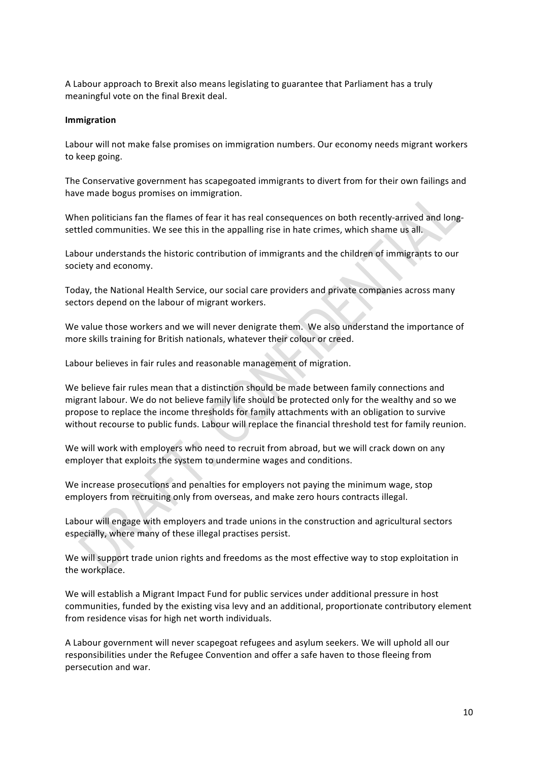A Labour approach to Brexit also means legislating to guarantee that Parliament has a truly meaningful vote on the final Brexit deal.

### **Immigration**

Labour will not make false promises on immigration numbers. Our economy needs migrant workers to keep going.

The Conservative government has scapegoated immigrants to divert from for their own failings and have made bogus promises on immigration.

When politicians fan the flames of fear it has real consequences on both recently-arrived and longsettled communities. We see this in the appalling rise in hate crimes, which shame us all.

Labour understands the historic contribution of immigrants and the children of immigrants to our society and economy.

Today, the National Health Service, our social care providers and private companies across many sectors depend on the labour of migrant workers.

We value those workers and we will never denigrate them. We also understand the importance of more skills training for British nationals, whatever their colour or creed.

Labour believes in fair rules and reasonable management of migration.

We believe fair rules mean that a distinction should be made between family connections and migrant labour. We do not believe family life should be protected only for the wealthy and so we propose to replace the income thresholds for family attachments with an obligation to survive without recourse to public funds. Labour will replace the financial threshold test for family reunion.

We will work with employers who need to recruit from abroad, but we will crack down on any employer that exploits the system to undermine wages and conditions.

We increase prosecutions and penalties for employers not paying the minimum wage, stop employers from recruiting only from overseas, and make zero hours contracts illegal.

Labour will engage with employers and trade unions in the construction and agricultural sectors especially, where many of these illegal practises persist.

We will support trade union rights and freedoms as the most effective way to stop exploitation in the workplace.

We will establish a Migrant Impact Fund for public services under additional pressure in host communities, funded by the existing visa levy and an additional, proportionate contributory element from residence visas for high net worth individuals.

A Labour government will never scapegoat refugees and asylum seekers. We will uphold all our responsibilities under the Refugee Convention and offer a safe haven to those fleeing from persecution and war.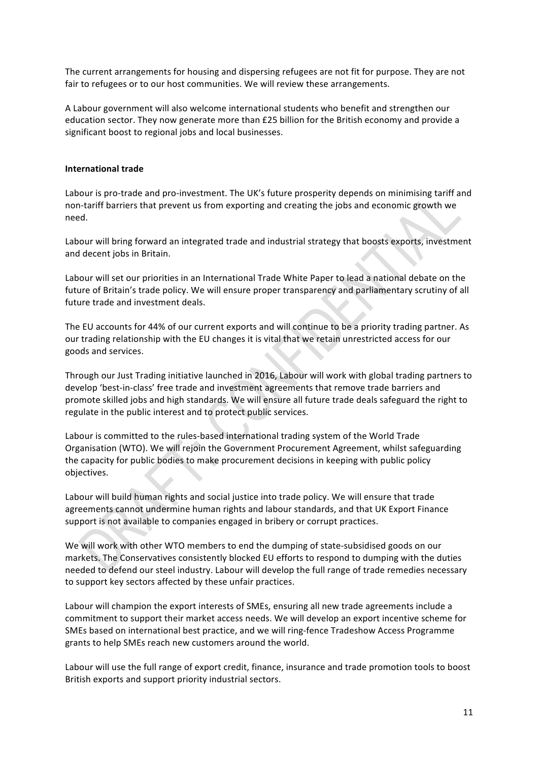The current arrangements for housing and dispersing refugees are not fit for purpose. They are not fair to refugees or to our host communities. We will review these arrangements.

A Labour government will also welcome international students who benefit and strengthen our education sector. They now generate more than £25 billion for the British economy and provide a significant boost to regional jobs and local businesses.

### **International trade**

Labour is pro-trade and pro-investment. The UK's future prosperity depends on minimising tariff and non-tariff barriers that prevent us from exporting and creating the jobs and economic growth we need.

Labour will bring forward an integrated trade and industrial strategy that boosts exports, investment and decent jobs in Britain.

Labour will set our priorities in an International Trade White Paper to lead a national debate on the future of Britain's trade policy. We will ensure proper transparency and parliamentary scrutiny of all future trade and investment deals.

The EU accounts for 44% of our current exports and will continue to be a priority trading partner. As our trading relationship with the EU changes it is vital that we retain unrestricted access for our goods and services.

Through our Just Trading initiative launched in 2016, Labour will work with global trading partners to develop 'best-in-class' free trade and investment agreements that remove trade barriers and promote skilled jobs and high standards. We will ensure all future trade deals safeguard the right to regulate in the public interest and to protect public services.

Labour is committed to the rules-based international trading system of the World Trade Organisation (WTO). We will rejoin the Government Procurement Agreement, whilst safeguarding the capacity for public bodies to make procurement decisions in keeping with public policy objectives.

Labour will build human rights and social justice into trade policy. We will ensure that trade agreements cannot undermine human rights and labour standards, and that UK Export Finance support is not available to companies engaged in bribery or corrupt practices.

We will work with other WTO members to end the dumping of state-subsidised goods on our markets. The Conservatives consistently blocked EU efforts to respond to dumping with the duties needed to defend our steel industry. Labour will develop the full range of trade remedies necessary to support key sectors affected by these unfair practices.

Labour will champion the export interests of SMEs, ensuring all new trade agreements include a commitment to support their market access needs. We will develop an export incentive scheme for SMEs based on international best practice, and we will ring-fence Tradeshow Access Programme grants to help SMEs reach new customers around the world.

Labour will use the full range of export credit, finance, insurance and trade promotion tools to boost British exports and support priority industrial sectors.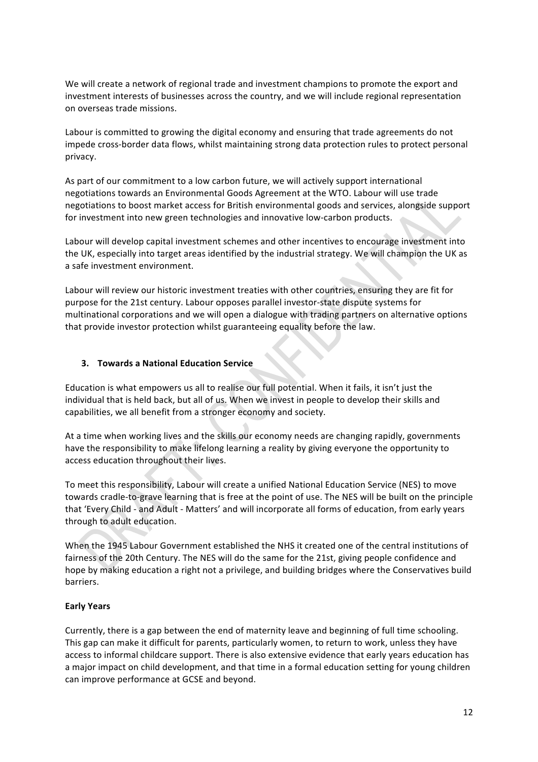We will create a network of regional trade and investment champions to promote the export and investment interests of businesses across the country, and we will include regional representation on overseas trade missions.

Labour is committed to growing the digital economy and ensuring that trade agreements do not impede cross-border data flows, whilst maintaining strong data protection rules to protect personal privacy.

As part of our commitment to a low carbon future, we will actively support international negotiations towards an Environmental Goods Agreement at the WTO. Labour will use trade negotiations to boost market access for British environmental goods and services, alongside support for investment into new green technologies and innovative low-carbon products.

Labour will develop capital investment schemes and other incentives to encourage investment into the UK, especially into target areas identified by the industrial strategy. We will champion the UK as a safe investment environment.

Labour will review our historic investment treaties with other countries, ensuring they are fit for purpose for the 21st century. Labour opposes parallel investor-state dispute systems for multinational corporations and we will open a dialogue with trading partners on alternative options that provide investor protection whilst guaranteeing equality before the law.

# **3. Towards a National Education Service**

Education is what empowers us all to realise our full potential. When it fails, it isn't just the individual that is held back, but all of us. When we invest in people to develop their skills and capabilities, we all benefit from a stronger economy and society.

At a time when working lives and the skills our economy needs are changing rapidly, governments have the responsibility to make lifelong learning a reality by giving everyone the opportunity to access education throughout their lives.

To meet this responsibility, Labour will create a unified National Education Service (NES) to move towards cradle-to-grave learning that is free at the point of use. The NES will be built on the principle that 'Every Child - and Adult - Matters' and will incorporate all forms of education, from early years through to adult education.

When the 1945 Labour Government established the NHS it created one of the central institutions of fairness of the 20th Century. The NES will do the same for the 21st, giving people confidence and hope by making education a right not a privilege, and building bridges where the Conservatives build barriers.

### **Early Years**

Currently, there is a gap between the end of maternity leave and beginning of full time schooling. This gap can make it difficult for parents, particularly women, to return to work, unless they have access to informal childcare support. There is also extensive evidence that early years education has a major impact on child development, and that time in a formal education setting for young children can improve performance at GCSE and beyond.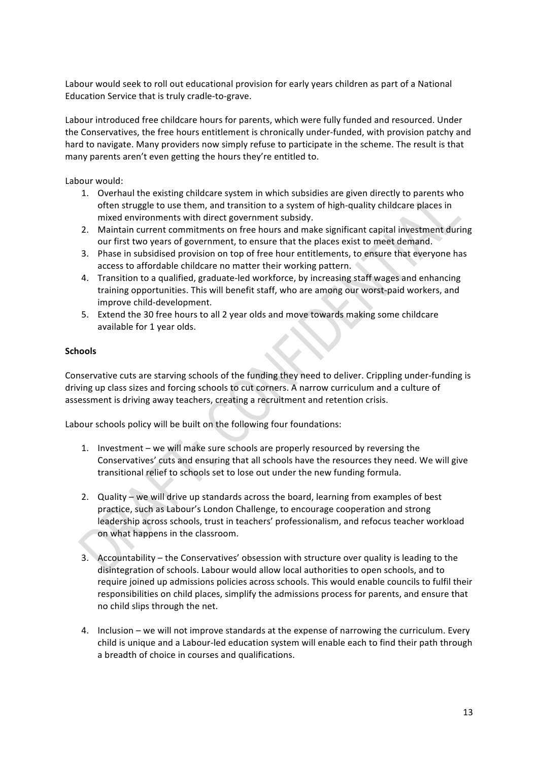Labour would seek to roll out educational provision for early years children as part of a National Education Service that is truly cradle-to-grave.

Labour introduced free childcare hours for parents, which were fully funded and resourced. Under the Conservatives, the free hours entitlement is chronically under-funded, with provision patchy and hard to navigate. Many providers now simply refuse to participate in the scheme. The result is that many parents aren't even getting the hours they're entitled to.

Labour would:

- 1. Overhaul the existing childcare system in which subsidies are given directly to parents who often struggle to use them, and transition to a system of high-quality childcare places in mixed environments with direct government subsidy.
- 2. Maintain current commitments on free hours and make significant capital investment during our first two years of government, to ensure that the places exist to meet demand.
- 3. Phase in subsidised provision on top of free hour entitlements, to ensure that everyone has access to affordable childcare no matter their working pattern.
- 4. Transition to a qualified, graduate-led workforce, by increasing staff wages and enhancing training opportunities. This will benefit staff, who are among our worst-paid workers, and improve child-development.
- 5. Extend the 30 free hours to all 2 year olds and move towards making some childcare available for 1 year olds.

# **Schools**

Conservative cuts are starving schools of the funding they need to deliver. Crippling under-funding is driving up class sizes and forcing schools to cut corners. A narrow curriculum and a culture of assessment is driving away teachers, creating a recruitment and retention crisis.

Labour schools policy will be built on the following four foundations:

- 1. Investment we will make sure schools are properly resourced by reversing the Conservatives' cuts and ensuring that all schools have the resources they need. We will give transitional relief to schools set to lose out under the new funding formula.
- 2. Quality we will drive up standards across the board, learning from examples of best practice, such as Labour's London Challenge, to encourage cooperation and strong leadership across schools, trust in teachers' professionalism, and refocus teacher workload on what happens in the classroom.
- 3. Accountability the Conservatives' obsession with structure over quality is leading to the disintegration of schools. Labour would allow local authorities to open schools, and to require joined up admissions policies across schools. This would enable councils to fulfil their responsibilities on child places, simplify the admissions process for parents, and ensure that no child slips through the net.
- 4. Inclusion we will not improve standards at the expense of narrowing the curriculum. Every child is unique and a Labour-led education system will enable each to find their path through a breadth of choice in courses and qualifications.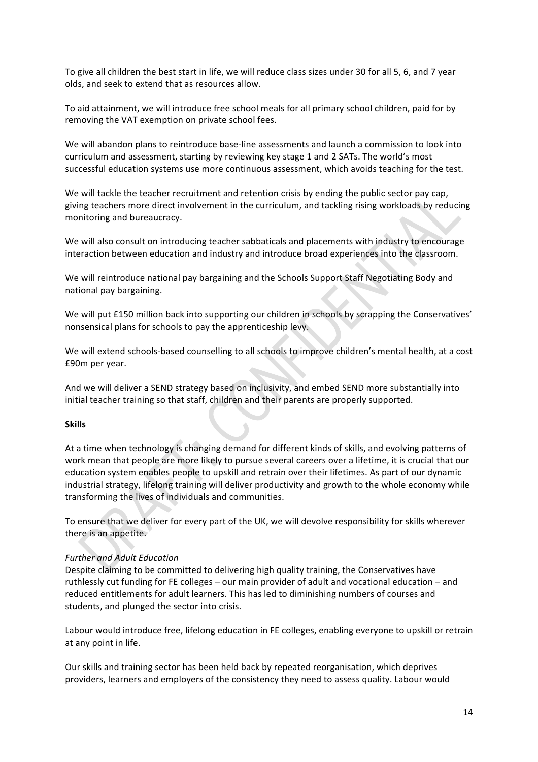To give all children the best start in life, we will reduce class sizes under 30 for all 5, 6, and 7 year olds, and seek to extend that as resources allow.

To aid attainment, we will introduce free school meals for all primary school children, paid for by removing the VAT exemption on private school fees.

We will abandon plans to reintroduce base-line assessments and launch a commission to look into curriculum and assessment, starting by reviewing key stage 1 and 2 SATs. The world's most successful education systems use more continuous assessment, which avoids teaching for the test.

We will tackle the teacher recruitment and retention crisis by ending the public sector pay cap, giving teachers more direct involvement in the curriculum, and tackling rising workloads by reducing monitoring and bureaucracy.

We will also consult on introducing teacher sabbaticals and placements with industry to encourage interaction between education and industry and introduce broad experiences into the classroom.

We will reintroduce national pay bargaining and the Schools Support Staff Negotiating Body and national pay bargaining.

We will put £150 million back into supporting our children in schools by scrapping the Conservatives' nonsensical plans for schools to pay the apprenticeship levy.

We will extend schools-based counselling to all schools to improve children's mental health, at a cost £90m per year.

And we will deliver a SEND strategy based on inclusivity, and embed SEND more substantially into initial teacher training so that staff, children and their parents are properly supported.

#### **Skills**

At a time when technology is changing demand for different kinds of skills, and evolving patterns of work mean that people are more likely to pursue several careers over a lifetime, it is crucial that our education system enables people to upskill and retrain over their lifetimes. As part of our dynamic industrial strategy, lifelong training will deliver productivity and growth to the whole economy while transforming the lives of individuals and communities.

To ensure that we deliver for every part of the UK, we will devolve responsibility for skills wherever there is an appetite.

## *Further and Adult Education*

Despite claiming to be committed to delivering high quality training, the Conservatives have ruthlessly cut funding for FE colleges – our main provider of adult and vocational education – and reduced entitlements for adult learners. This has led to diminishing numbers of courses and students, and plunged the sector into crisis.

Labour would introduce free, lifelong education in FE colleges, enabling everyone to upskill or retrain at any point in life.

Our skills and training sector has been held back by repeated reorganisation, which deprives providers, learners and employers of the consistency they need to assess quality. Labour would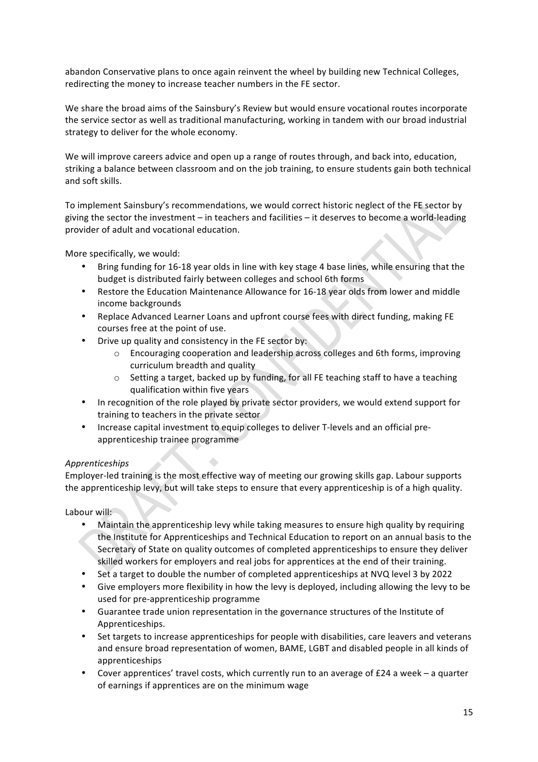abandon Conservative plans to once again reinvent the wheel by building new Technical Colleges, redirecting the money to increase teacher numbers in the FE sector.

We share the broad aims of the Sainsbury's Review but would ensure vocational routes incorporate the service sector as well as traditional manufacturing, working in tandem with our broad industrial strategy to deliver for the whole economy.

We will improve careers advice and open up a range of routes through, and back into, education, striking a balance between classroom and on the job training, to ensure students gain both technical and soft skills.

To implement Sainsbury's recommendations, we would correct historic neglect of the FE sector by giving the sector the investment  $-$  in teachers and facilities  $-$  it deserves to become a world-leading provider of adult and vocational education.

More specifically, we would:

- Bring funding for 16-18 year olds in line with key stage 4 base lines, while ensuring that the budget is distributed fairly between colleges and school 6th forms
- Restore the Education Maintenance Allowance for 16-18 year olds from lower and middle income backgrounds
- Replace Advanced Learner Loans and upfront course fees with direct funding, making FE courses free at the point of use.
- Drive up quality and consistency in the FE sector by:
	- $\circ$  Encouraging cooperation and leadership across colleges and 6th forms, improving curriculum breadth and quality
	- $\circ$  Setting a target, backed up by funding, for all FE teaching staff to have a teaching qualification within five years
- In recognition of the role played by private sector providers, we would extend support for training to teachers in the private sector
- Increase capital investment to equip colleges to deliver T-levels and an official preapprenticeship trainee programme

# *Apprenticeships*

Employer-led training is the most effective way of meeting our growing skills gap. Labour supports the apprenticeship levy, but will take steps to ensure that every apprenticeship is of a high quality.

# Labour will:

- Maintain the apprenticeship levy while taking measures to ensure high quality by requiring the Institute for Apprenticeships and Technical Education to report on an annual basis to the Secretary of State on quality outcomes of completed apprenticeships to ensure they deliver skilled workers for employers and real jobs for apprentices at the end of their training.
- Set a target to double the number of completed apprenticeships at NVQ level 3 by 2022
- Give employers more flexibility in how the levy is deployed, including allowing the levy to be used for pre-apprenticeship programme
- Guarantee trade union representation in the governance structures of the Institute of Apprenticeships.
- Set targets to increase apprenticeships for people with disabilities, care leavers and veterans and ensure broad representation of women, BAME, LGBT and disabled people in all kinds of apprenticeships
- Cover apprentices' travel costs, which currently run to an average of  $£24$  a week a quarter of earnings if apprentices are on the minimum wage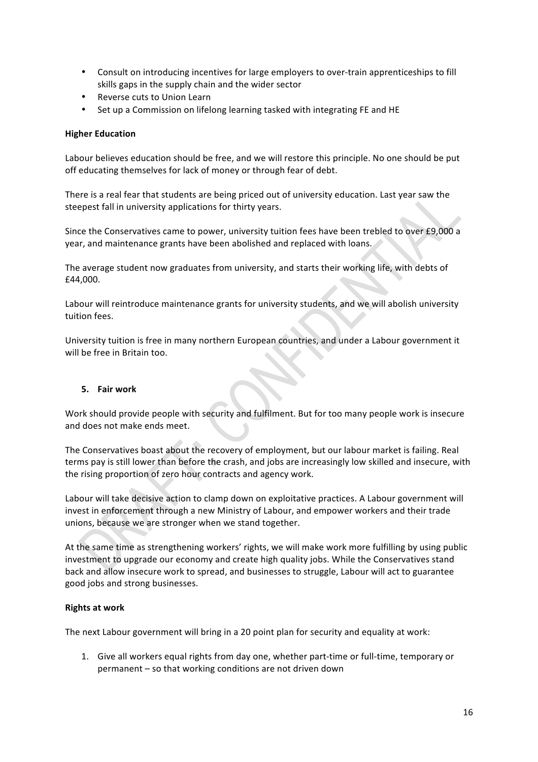- Consult on introducing incentives for large employers to over-train apprenticeships to fill skills gaps in the supply chain and the wider sector
- Reverse cuts to Union Learn
- Set up a Commission on lifelong learning tasked with integrating FE and HE

# **Higher Education**

Labour believes education should be free, and we will restore this principle. No one should be put off educating themselves for lack of money or through fear of debt.

There is a real fear that students are being priced out of university education. Last year saw the steepest fall in university applications for thirty years.

Since the Conservatives came to power, university tuition fees have been trebled to over £9,000 a year, and maintenance grants have been abolished and replaced with loans.

The average student now graduates from university, and starts their working life, with debts of £44,000.

Labour will reintroduce maintenance grants for university students, and we will abolish university tuition fees.

University tuition is free in many northern European countries, and under a Labour government it will be free in Britain too.

### **5. Fair work**

Work should provide people with security and fulfilment. But for too many people work is insecure and does not make ends meet.

The Conservatives boast about the recovery of employment, but our labour market is failing. Real terms pay is still lower than before the crash, and jobs are increasingly low skilled and insecure, with the rising proportion of zero hour contracts and agency work.

Labour will take decisive action to clamp down on exploitative practices. A Labour government will invest in enforcement through a new Ministry of Labour, and empower workers and their trade unions, because we are stronger when we stand together.

At the same time as strengthening workers' rights, we will make work more fulfilling by using public investment to upgrade our economy and create high quality jobs. While the Conservatives stand back and allow insecure work to spread, and businesses to struggle, Labour will act to guarantee good jobs and strong businesses.

### **Rights at work**

The next Labour government will bring in a 20 point plan for security and equality at work:

1. Give all workers equal rights from day one, whether part-time or full-time, temporary or permanent  $-$  so that working conditions are not driven down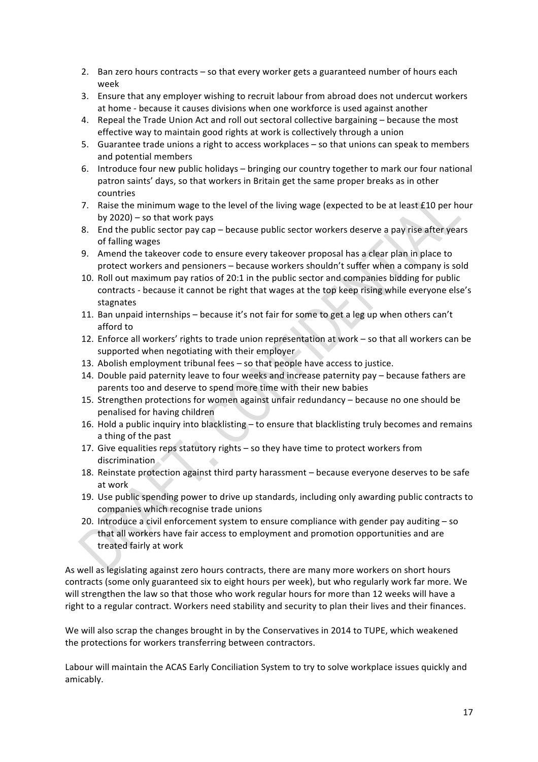- 2. Ban zero hours contracts  $-$  so that every worker gets a guaranteed number of hours each week
- 3. Ensure that any employer wishing to recruit labour from abroad does not undercut workers at home - because it causes divisions when one workforce is used against another
- 4. Repeal the Trade Union Act and roll out sectoral collective bargaining because the most effective way to maintain good rights at work is collectively through a union
- 5. Guarantee trade unions a right to access workplaces so that unions can speak to members and potential members
- 6. Introduce four new public holidays bringing our country together to mark our four national patron saints' days, so that workers in Britain get the same proper breaks as in other countries
- 7. Raise the minimum wage to the level of the living wage (expected to be at least £10 per hour by  $2020$  – so that work pays
- 8. End the public sector pay cap because public sector workers deserve a pay rise after years of falling wages
- 9. Amend the takeover code to ensure every takeover proposal has a clear plan in place to protect workers and pensioners – because workers shouldn't suffer when a company is sold
- 10. Roll out maximum pay ratios of 20:1 in the public sector and companies bidding for public contracts - because it cannot be right that wages at the top keep rising while everyone else's stagnates
- 11. Ban unpaid internships because it's not fair for some to get a leg up when others can't afford to
- 12. Enforce all workers' rights to trade union representation at work so that all workers can be supported when negotiating with their employer
- 13. Abolish employment tribunal fees so that people have access to justice.
- 14. Double paid paternity leave to four weeks and increase paternity pay because fathers are parents too and deserve to spend more time with their new babies
- 15. Strengthen protections for women against unfair redundancy because no one should be penalised for having children
- 16. Hold a public inquiry into blacklisting to ensure that blacklisting truly becomes and remains a thing of the past
- 17. Give equalities reps statutory rights so they have time to protect workers from discrimination
- 18. Reinstate protection against third party harassment because everyone deserves to be safe at work
- 19. Use public spending power to drive up standards, including only awarding public contracts to companies which recognise trade unions
- 20. Introduce a civil enforcement system to ensure compliance with gender pay auditing  $-$  so that all workers have fair access to employment and promotion opportunities and are treated fairly at work

As well as legislating against zero hours contracts, there are many more workers on short hours contracts (some only guaranteed six to eight hours per week), but who regularly work far more. We will strengthen the law so that those who work regular hours for more than 12 weeks will have a right to a regular contract. Workers need stability and security to plan their lives and their finances.

We will also scrap the changes brought in by the Conservatives in 2014 to TUPE, which weakened the protections for workers transferring between contractors.

Labour will maintain the ACAS Early Conciliation System to try to solve workplace issues quickly and amicably.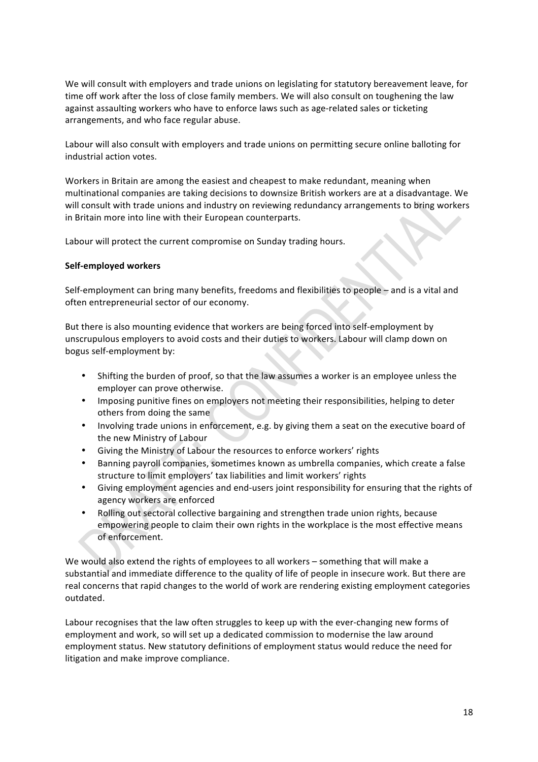We will consult with employers and trade unions on legislating for statutory bereavement leave, for time off work after the loss of close family members. We will also consult on toughening the law against assaulting workers who have to enforce laws such as age-related sales or ticketing arrangements, and who face regular abuse.

Labour will also consult with employers and trade unions on permitting secure online balloting for industrial action votes.

Workers in Britain are among the easiest and cheapest to make redundant, meaning when multinational companies are taking decisions to downsize British workers are at a disadvantage. We will consult with trade unions and industry on reviewing redundancy arrangements to bring workers in Britain more into line with their European counterparts.

Labour will protect the current compromise on Sunday trading hours.

### **Self-employed workers**

Self-employment can bring many benefits, freedoms and flexibilities to people – and is a vital and often entrepreneurial sector of our economy.

But there is also mounting evidence that workers are being forced into self-employment by unscrupulous employers to avoid costs and their duties to workers. Labour will clamp down on bogus self-employment by:

- Shifting the burden of proof, so that the law assumes a worker is an employee unless the employer can prove otherwise.
- Imposing punitive fines on employers not meeting their responsibilities, helping to deter others from doing the same
- Involving trade unions in enforcement, e.g. by giving them a seat on the executive board of the new Ministry of Labour
- Giving the Ministry of Labour the resources to enforce workers' rights
- Banning payroll companies, sometimes known as umbrella companies, which create a false structure to limit employers' tax liabilities and limit workers' rights
- Giving employment agencies and end-users joint responsibility for ensuring that the rights of agency workers are enforced
- Rolling out sectoral collective bargaining and strengthen trade union rights, because empowering people to claim their own rights in the workplace is the most effective means of enforcement.

We would also extend the rights of employees to all workers – something that will make a substantial and immediate difference to the quality of life of people in insecure work. But there are real concerns that rapid changes to the world of work are rendering existing employment categories outdated. 

Labour recognises that the law often struggles to keep up with the ever-changing new forms of employment and work, so will set up a dedicated commission to modernise the law around employment status. New statutory definitions of employment status would reduce the need for litigation and make improve compliance.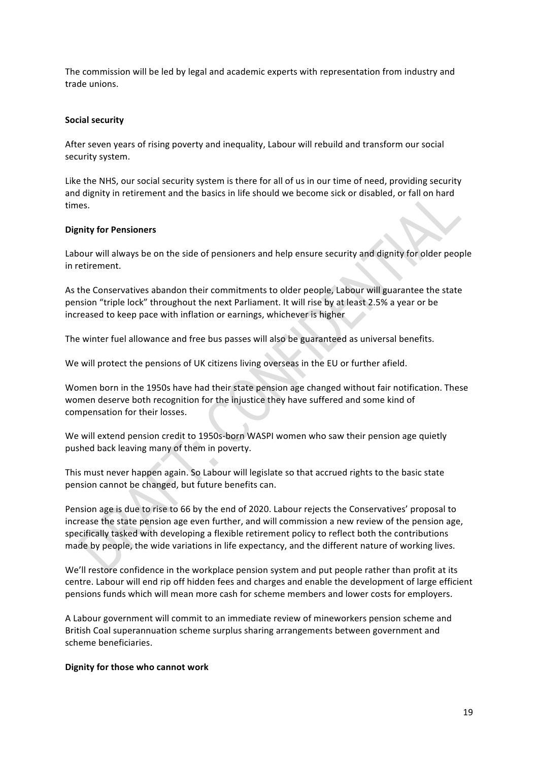The commission will be led by legal and academic experts with representation from industry and trade unions.

### **Social security**

After seven years of rising poverty and inequality, Labour will rebuild and transform our social security system.

Like the NHS, our social security system is there for all of us in our time of need, providing security and dignity in retirement and the basics in life should we become sick or disabled, or fall on hard times.

### **Dignity for Pensioners**

Labour will always be on the side of pensioners and help ensure security and dignity for older people in retirement.

As the Conservatives abandon their commitments to older people, Labour will guarantee the state pension "triple lock" throughout the next Parliament. It will rise by at least 2.5% a year or be increased to keep pace with inflation or earnings, whichever is higher

The winter fuel allowance and free bus passes will also be guaranteed as universal benefits.

We will protect the pensions of UK citizens living overseas in the EU or further afield.

Women born in the 1950s have had their state pension age changed without fair notification. These women deserve both recognition for the injustice they have suffered and some kind of compensation for their losses.

We will extend pension credit to 1950s-born WASPI women who saw their pension age quietly pushed back leaving many of them in poverty.

This must never happen again. So Labour will legislate so that accrued rights to the basic state pension cannot be changed, but future benefits can.

Pension age is due to rise to 66 by the end of 2020. Labour rejects the Conservatives' proposal to increase the state pension age even further, and will commission a new review of the pension age, specifically tasked with developing a flexible retirement policy to reflect both the contributions made by people, the wide variations in life expectancy, and the different nature of working lives.

We'll restore confidence in the workplace pension system and put people rather than profit at its centre. Labour will end rip off hidden fees and charges and enable the development of large efficient pensions funds which will mean more cash for scheme members and lower costs for employers.

A Labour government will commit to an immediate review of mineworkers pension scheme and British Coal superannuation scheme surplus sharing arrangements between government and scheme beneficiaries.

#### **Dignity for those who cannot work**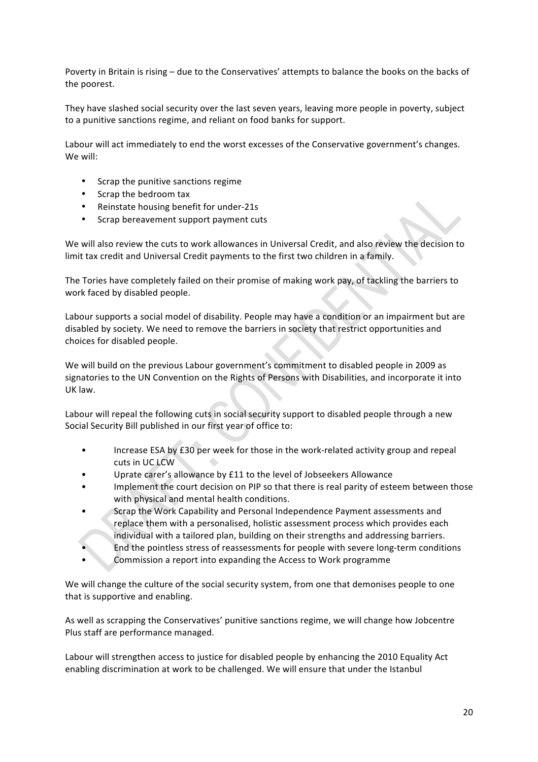Poverty in Britain is rising – due to the Conservatives' attempts to balance the books on the backs of the poorest.

They have slashed social security over the last seven years, leaving more people in poverty, subject to a punitive sanctions regime, and reliant on food banks for support.

Labour will act immediately to end the worst excesses of the Conservative government's changes. We will:

- Scrap the punitive sanctions regime
- Scrap the bedroom tax
- Reinstate housing benefit for under-21s
- Scrap bereavement support payment cuts

We will also review the cuts to work allowances in Universal Credit, and also review the decision to limit tax credit and Universal Credit payments to the first two children in a family.

The Tories have completely failed on their promise of making work pay, of tackling the barriers to work faced by disabled people.

Labour supports a social model of disability. People may have a condition or an impairment but are disabled by society. We need to remove the barriers in society that restrict opportunities and choices for disabled people.

We will build on the previous Labour government's commitment to disabled people in 2009 as signatories to the UN Convention on the Rights of Persons with Disabilities, and incorporate it into UK law.

Labour will repeal the following cuts in social security support to disabled people through a new Social Security Bill published in our first year of office to:

- Increase ESA by £30 per week for those in the work-related activity group and repeal cuts in UC LCW
- Uprate carer's allowance by £11 to the level of Jobseekers Allowance
- Implement the court decision on PIP so that there is real parity of esteem between those with physical and mental health conditions.
- Scrap the Work Capability and Personal Independence Payment assessments and replace them with a personalised, holistic assessment process which provides each individual with a tailored plan, building on their strengths and addressing barriers.
	- End the pointless stress of reassessments for people with severe long-term conditions
	- Commission a report into expanding the Access to Work programme

We will change the culture of the social security system, from one that demonises people to one that is supportive and enabling.

As well as scrapping the Conservatives' punitive sanctions regime, we will change how Jobcentre Plus staff are performance managed.

Labour will strengthen access to justice for disabled people by enhancing the 2010 Equality Act enabling discrimination at work to be challenged. We will ensure that under the Istanbul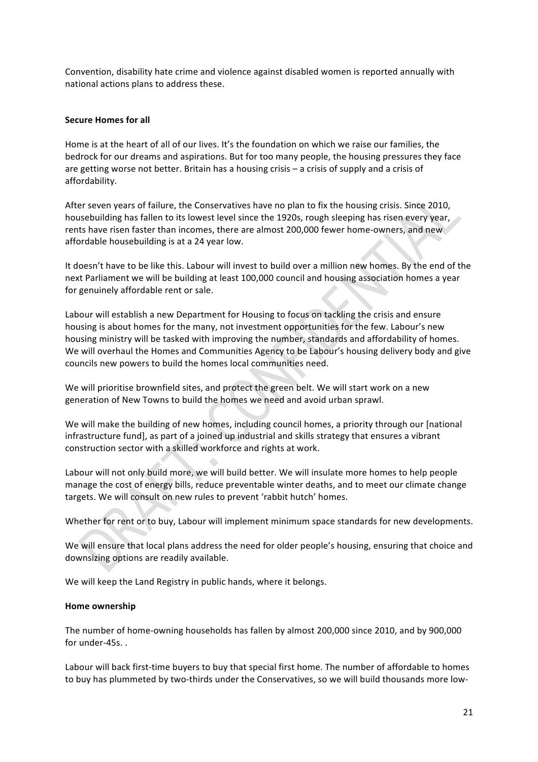Convention, disability hate crime and violence against disabled women is reported annually with national actions plans to address these.

### **Secure Homes for all**

Home is at the heart of all of our lives. It's the foundation on which we raise our families, the bedrock for our dreams and aspirations. But for too many people, the housing pressures they face are getting worse not better. Britain has a housing crisis  $-$  a crisis of supply and a crisis of affordability.

After seven years of failure, the Conservatives have no plan to fix the housing crisis. Since 2010, housebuilding has fallen to its lowest level since the 1920s, rough sleeping has risen every year,  $\sim$ rents have risen faster than incomes, there are almost 200,000 fewer home-owners, and new affordable housebuilding is at a 24 year low.

It doesn't have to be like this. Labour will invest to build over a million new homes. By the end of the next Parliament we will be building at least 100,000 council and housing association homes a year for genuinely affordable rent or sale.

Labour will establish a new Department for Housing to focus on tackling the crisis and ensure housing is about homes for the many, not investment opportunities for the few. Labour's new housing ministry will be tasked with improving the number, standards and affordability of homes. We will overhaul the Homes and Communities Agency to be Labour's housing delivery body and give councils new powers to build the homes local communities need.

We will prioritise brownfield sites, and protect the green belt. We will start work on a new generation of New Towns to build the homes we need and avoid urban sprawl.

We will make the building of new homes, including council homes, a priority through our [national] infrastructure fund], as part of a joined up industrial and skills strategy that ensures a vibrant construction sector with a skilled workforce and rights at work.

Labour will not only build more, we will build better. We will insulate more homes to help people manage the cost of energy bills, reduce preventable winter deaths, and to meet our climate change targets. We will consult on new rules to prevent 'rabbit hutch' homes.

Whether for rent or to buy, Labour will implement minimum space standards for new developments.

We will ensure that local plans address the need for older people's housing, ensuring that choice and downsizing options are readily available.

We will keep the Land Registry in public hands, where it belongs.

#### **Home ownership**

The number of home-owning households has fallen by almost 200,000 since 2010, and by 900,000 for under-45s...

Labour will back first-time buyers to buy that special first home. The number of affordable to homes to buy has plummeted by two-thirds under the Conservatives, so we will build thousands more low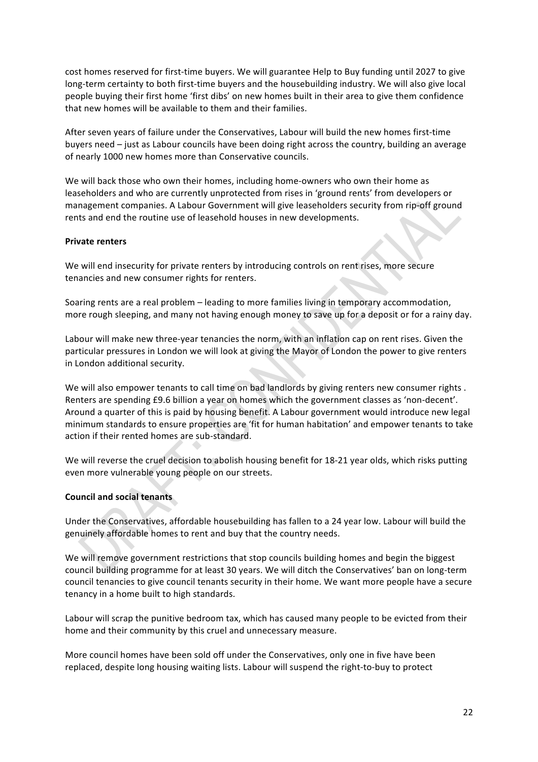cost homes reserved for first-time buyers. We will guarantee Help to Buy funding until 2027 to give long-term certainty to both first-time buyers and the housebuilding industry. We will also give local people buying their first home 'first dibs' on new homes built in their area to give them confidence that new homes will be available to them and their families.

After seven years of failure under the Conservatives, Labour will build the new homes first-time buyers need – just as Labour councils have been doing right across the country, building an average of nearly 1000 new homes more than Conservative councils.

We will back those who own their homes, including home-owners who own their home as leaseholders and who are currently unprotected from rises in 'ground rents' from developers or management companies. A Labour Government will give leaseholders security from rip-off ground rents and end the routine use of leasehold houses in new developments.

### **Private renters**

We will end insecurity for private renters by introducing controls on rent rises, more secure tenancies and new consumer rights for renters.

Soaring rents are a real problem – leading to more families living in temporary accommodation, more rough sleeping, and many not having enough money to save up for a deposit or for a rainy day.

Labour will make new three-year tenancies the norm, with an inflation cap on rent rises. Given the particular pressures in London we will look at giving the Mayor of London the power to give renters in London additional security.

We will also empower tenants to call time on bad landlords by giving renters new consumer rights . Renters are spending £9.6 billion a year on homes which the government classes as 'non-decent'. Around a quarter of this is paid by housing benefit. A Labour government would introduce new legal minimum standards to ensure properties are 'fit for human habitation' and empower tenants to take action if their rented homes are sub-standard.

We will reverse the cruel decision to abolish housing benefit for 18-21 year olds, which risks putting even more vulnerable young people on our streets.

#### **Council and social tenants**

Under the Conservatives, affordable housebuilding has fallen to a 24 year low. Labour will build the genuinely affordable homes to rent and buy that the country needs.

We will remove government restrictions that stop councils building homes and begin the biggest council building programme for at least 30 years. We will ditch the Conservatives' ban on long-term council tenancies to give council tenants security in their home. We want more people have a secure tenancy in a home built to high standards.

Labour will scrap the punitive bedroom tax, which has caused many people to be evicted from their home and their community by this cruel and unnecessary measure.

More council homes have been sold off under the Conservatives, only one in five have been replaced, despite long housing waiting lists. Labour will suspend the right-to-buy to protect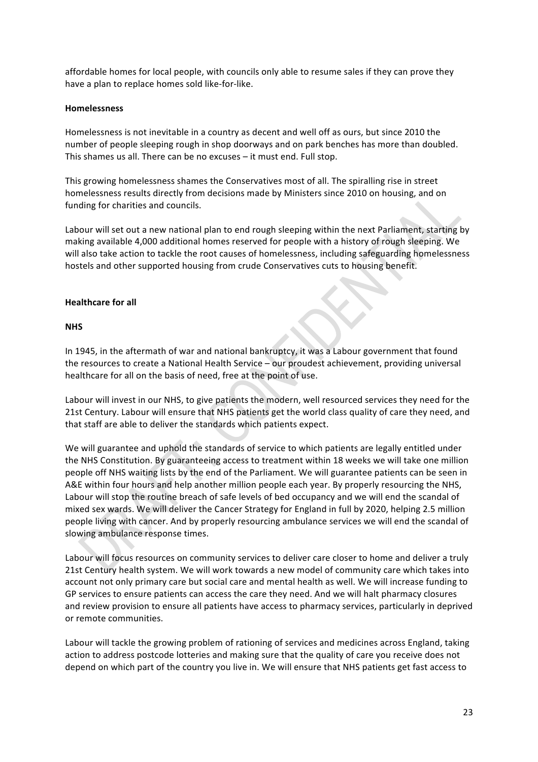affordable homes for local people, with councils only able to resume sales if they can prove they have a plan to replace homes sold like-for-like.

### **Homelessness**

Homelessness is not inevitable in a country as decent and well off as ours, but since 2010 the number of people sleeping rough in shop doorways and on park benches has more than doubled. This shames us all. There can be no excuses  $-$  it must end. Full stop.

This growing homelessness shames the Conservatives most of all. The spiralling rise in street homelessness results directly from decisions made by Ministers since 2010 on housing, and on funding for charities and councils.

Labour will set out a new national plan to end rough sleeping within the next Parliament, starting by making available 4,000 additional homes reserved for people with a history of rough sleeping. We will also take action to tackle the root causes of homelessness, including safeguarding homelessness hostels and other supported housing from crude Conservatives cuts to housing benefit.

### **Healthcare for all**

### **NHS**

In 1945, in the aftermath of war and national bankruptcy, it was a Labour government that found the resources to create a National Health Service – our proudest achievement, providing universal healthcare for all on the basis of need, free at the point of use.

Labour will invest in our NHS, to give patients the modern, well resourced services they need for the 21st Century. Labour will ensure that NHS patients get the world class quality of care they need, and that staff are able to deliver the standards which patients expect.

We will guarantee and uphold the standards of service to which patients are legally entitled under the NHS Constitution. By guaranteeing access to treatment within 18 weeks we will take one million people off NHS waiting lists by the end of the Parliament. We will guarantee patients can be seen in A&E within four hours and help another million people each year. By properly resourcing the NHS, Labour will stop the routine breach of safe levels of bed occupancy and we will end the scandal of mixed sex wards. We will deliver the Cancer Strategy for England in full by 2020, helping 2.5 million people living with cancer. And by properly resourcing ambulance services we will end the scandal of slowing ambulance response times.

Labour will focus resources on community services to deliver care closer to home and deliver a truly 21st Century health system. We will work towards a new model of community care which takes into account not only primary care but social care and mental health as well. We will increase funding to GP services to ensure patients can access the care they need. And we will halt pharmacy closures and review provision to ensure all patients have access to pharmacy services, particularly in deprived or remote communities.

Labour will tackle the growing problem of rationing of services and medicines across England, taking action to address postcode lotteries and making sure that the quality of care you receive does not depend on which part of the country you live in. We will ensure that NHS patients get fast access to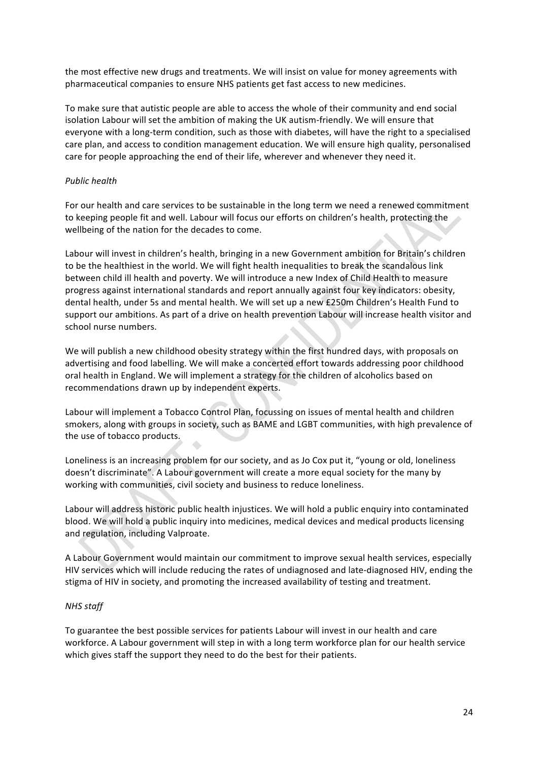the most effective new drugs and treatments. We will insist on value for money agreements with pharmaceutical companies to ensure NHS patients get fast access to new medicines.

To make sure that autistic people are able to access the whole of their community and end social isolation Labour will set the ambition of making the UK autism-friendly. We will ensure that everyone with a long-term condition, such as those with diabetes, will have the right to a specialised care plan, and access to condition management education. We will ensure high quality, personalised care for people approaching the end of their life, wherever and whenever they need it.

## *Public health*

For our health and care services to be sustainable in the long term we need a renewed commitment to keeping people fit and well. Labour will focus our efforts on children's health, protecting the wellbeing of the nation for the decades to come.

Labour will invest in children's health, bringing in a new Government ambition for Britain's children to be the healthiest in the world. We will fight health inequalities to break the scandalous link between child ill health and poverty. We will introduce a new Index of Child Health to measure progress against international standards and report annually against four key indicators: obesity, dental health, under 5s and mental health. We will set up a new £250m Children's Health Fund to support our ambitions. As part of a drive on health prevention Labour will increase health visitor and school nurse numbers.

We will publish a new childhood obesity strategy within the first hundred days, with proposals on advertising and food labelling. We will make a concerted effort towards addressing poor childhood oral health in England. We will implement a strategy for the children of alcoholics based on recommendations drawn up by independent experts.

Labour will implement a Tobacco Control Plan, focussing on issues of mental health and children smokers, along with groups in society, such as BAME and LGBT communities, with high prevalence of the use of tobacco products.

Loneliness is an increasing problem for our society, and as Jo Cox put it, "young or old, loneliness doesn't discriminate". A Labour government will create a more equal society for the many by working with communities, civil society and business to reduce loneliness.

Labour will address historic public health injustices. We will hold a public enquiry into contaminated blood. We will hold a public inquiry into medicines, medical devices and medical products licensing and regulation, including Valproate.

A Labour Government would maintain our commitment to improve sexual health services, especially HIV services which will include reducing the rates of undiagnosed and late-diagnosed HIV, ending the stigma of HIV in society, and promoting the increased availability of testing and treatment.

### *NHS staff*

To guarantee the best possible services for patients Labour will invest in our health and care workforce. A Labour government will step in with a long term workforce plan for our health service which gives staff the support they need to do the best for their patients.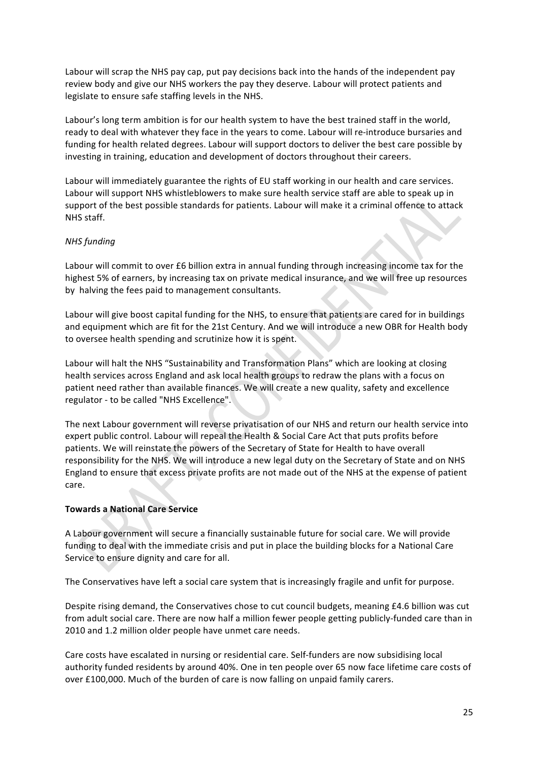Labour will scrap the NHS pay cap, put pay decisions back into the hands of the independent pay review body and give our NHS workers the pay they deserve. Labour will protect patients and legislate to ensure safe staffing levels in the NHS.

Labour's long term ambition is for our health system to have the best trained staff in the world, ready to deal with whatever they face in the years to come. Labour will re-introduce bursaries and funding for health related degrees. Labour will support doctors to deliver the best care possible by investing in training, education and development of doctors throughout their careers.

Labour will immediately guarantee the rights of EU staff working in our health and care services. Labour will support NHS whistleblowers to make sure health service staff are able to speak up in support of the best possible standards for patients. Labour will make it a criminal offence to attack NHS staff.

# *NHS funding*

Labour will commit to over £6 billion extra in annual funding through increasing income tax for the highest 5% of earners, by increasing tax on private medical insurance, and we will free up resources by halving the fees paid to management consultants.

Labour will give boost capital funding for the NHS, to ensure that patients are cared for in buildings and equipment which are fit for the 21st Century. And we will introduce a new OBR for Health body to oversee health spending and scrutinize how it is spent.

Labour will halt the NHS "Sustainability and Transformation Plans" which are looking at closing health services across England and ask local health groups to redraw the plans with a focus on patient need rather than available finances. We will create a new quality, safety and excellence regulator - to be called "NHS Excellence".

The next Labour government will reverse privatisation of our NHS and return our health service into expert public control. Labour will repeal the Health & Social Care Act that puts profits before patients. We will reinstate the powers of the Secretary of State for Health to have overall responsibility for the NHS. We will introduce a new legal duty on the Secretary of State and on NHS England to ensure that excess private profits are not made out of the NHS at the expense of patient care.

### **Towards a National Care Service**

A Labour government will secure a financially sustainable future for social care. We will provide funding to deal with the immediate crisis and put in place the building blocks for a National Care Service to ensure dignity and care for all.

The Conservatives have left a social care system that is increasingly fragile and unfit for purpose.

Despite rising demand, the Conservatives chose to cut council budgets, meaning £4.6 billion was cut from adult social care. There are now half a million fewer people getting publicly-funded care than in 2010 and 1.2 million older people have unmet care needs.

Care costs have escalated in nursing or residential care. Self-funders are now subsidising local authority funded residents by around 40%. One in ten people over 65 now face lifetime care costs of over £100,000. Much of the burden of care is now falling on unpaid family carers.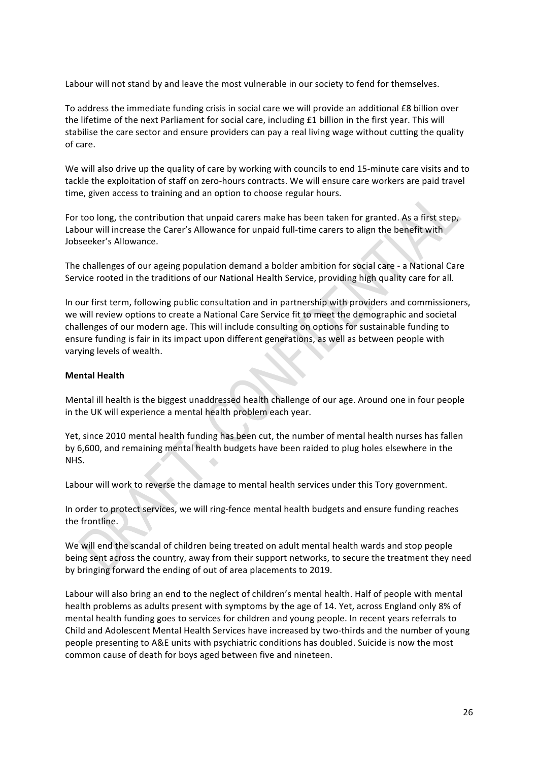Labour will not stand by and leave the most vulnerable in our society to fend for themselves.

To address the immediate funding crisis in social care we will provide an additional £8 billion over the lifetime of the next Parliament for social care, including £1 billion in the first year. This will stabilise the care sector and ensure providers can pay a real living wage without cutting the quality of care.

We will also drive up the quality of care by working with councils to end 15-minute care visits and to tackle the exploitation of staff on zero-hours contracts. We will ensure care workers are paid travel time, given access to training and an option to choose regular hours.

For too long, the contribution that unpaid carers make has been taken for granted. As a first step, Labour will increase the Carer's Allowance for unpaid full-time carers to align the benefit with Jobseeker's Allowance.

The challenges of our ageing population demand a bolder ambition for social care - a National Care Service rooted in the traditions of our National Health Service, providing high quality care for all.

In our first term, following public consultation and in partnership with providers and commissioners, we will review options to create a National Care Service fit to meet the demographic and societal challenges of our modern age. This will include consulting on options for sustainable funding to ensure funding is fair in its impact upon different generations, as well as between people with varying levels of wealth.

### **Mental Health**

Mental ill health is the biggest unaddressed health challenge of our age. Around one in four people in the UK will experience a mental health problem each year.

Yet, since 2010 mental health funding has been cut, the number of mental health nurses has fallen by 6,600, and remaining mental health budgets have been raided to plug holes elsewhere in the NHS.

Labour will work to reverse the damage to mental health services under this Tory government.

In order to protect services, we will ring-fence mental health budgets and ensure funding reaches the frontline.

We will end the scandal of children being treated on adult mental health wards and stop people being sent across the country, away from their support networks, to secure the treatment they need by bringing forward the ending of out of area placements to 2019.

Labour will also bring an end to the neglect of children's mental health. Half of people with mental health problems as adults present with symptoms by the age of 14. Yet, across England only 8% of mental health funding goes to services for children and young people. In recent years referrals to Child and Adolescent Mental Health Services have increased by two-thirds and the number of young people presenting to A&E units with psychiatric conditions has doubled. Suicide is now the most common cause of death for boys aged between five and nineteen.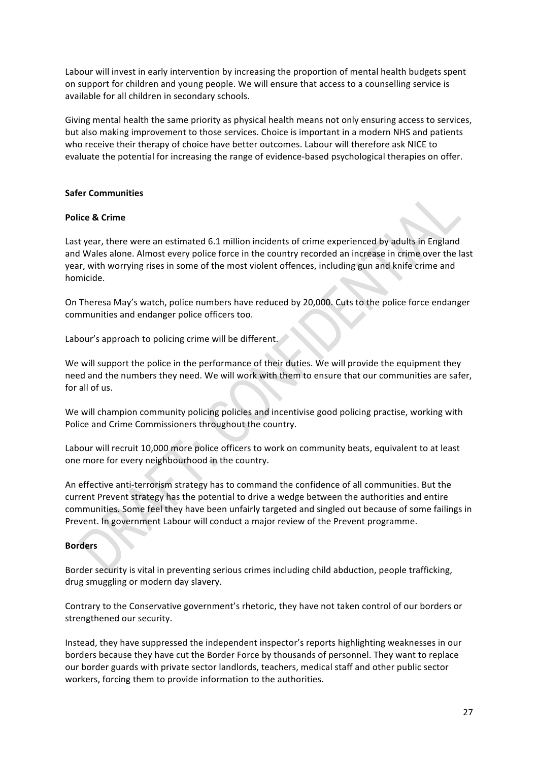Labour will invest in early intervention by increasing the proportion of mental health budgets spent on support for children and young people. We will ensure that access to a counselling service is available for all children in secondary schools.

Giving mental health the same priority as physical health means not only ensuring access to services, but also making improvement to those services. Choice is important in a modern NHS and patients who receive their therapy of choice have better outcomes. Labour will therefore ask NICE to evaluate the potential for increasing the range of evidence-based psychological therapies on offer.

### **Safer Communities**

### **Police & Crime**

Last year, there were an estimated 6.1 million incidents of crime experienced by adults in England and Wales alone. Almost every police force in the country recorded an increase in crime over the last year, with worrying rises in some of the most violent offences, including gun and knife crime and homicide.

On Theresa May's watch, police numbers have reduced by 20,000. Cuts to the police force endanger communities and endanger police officers too.

Labour's approach to policing crime will be different.

We will support the police in the performance of their duties. We will provide the equipment they need and the numbers they need. We will work with them to ensure that our communities are safer, for all of us.

We will champion community policing policies and incentivise good policing practise, working with Police and Crime Commissioners throughout the country.

Labour will recruit 10,000 more police officers to work on community beats, equivalent to at least one more for every neighbourhood in the country.

An effective anti-terrorism strategy has to command the confidence of all communities. But the current Prevent strategy has the potential to drive a wedge between the authorities and entire communities. Some feel they have been unfairly targeted and singled out because of some failings in Prevent. In government Labour will conduct a major review of the Prevent programme.

### **Borders**

Border security is vital in preventing serious crimes including child abduction, people trafficking, drug smuggling or modern day slavery.

Contrary to the Conservative government's rhetoric, they have not taken control of our borders or strengthened our security.

Instead, they have suppressed the independent inspector's reports highlighting weaknesses in our borders because they have cut the Border Force by thousands of personnel. They want to replace our border guards with private sector landlords, teachers, medical staff and other public sector workers, forcing them to provide information to the authorities.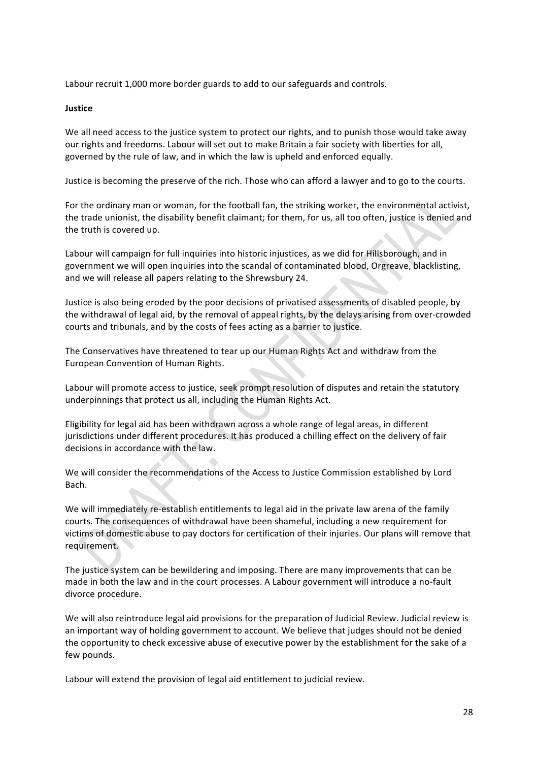Labour recruit 1,000 more border guards to add to our safeguards and controls.

### **Justice**

We all need access to the justice system to protect our rights, and to punish those would take away our rights and freedoms. Labour will set out to make Britain a fair society with liberties for all, governed by the rule of law, and in which the law is upheld and enforced equally.

Justice is becoming the preserve of the rich. Those who can afford a lawyer and to go to the courts.

For the ordinary man or woman, for the football fan, the striking worker, the environmental activist, the trade unionist, the disability benefit claimant; for them, for us, all too often, justice is denied and the truth is covered up.

Labour will campaign for full inquiries into historic injustices, as we did for Hillsborough, and in government we will open inquiries into the scandal of contaminated blood, Orgreave, blacklisting, and we will release all papers relating to the Shrewsbury 24.

Justice is also being eroded by the poor decisions of privatised assessments of disabled people, by the withdrawal of legal aid, by the removal of appeal rights, by the delays arising from over-crowded courts and tribunals, and by the costs of fees acting as a barrier to justice.

The Conservatives have threatened to tear up our Human Rights Act and withdraw from the European Convention of Human Rights.

Labour will promote access to justice, seek prompt resolution of disputes and retain the statutory underpinnings that protect us all, including the Human Rights Act.

Eligibility for legal aid has been withdrawn across a whole range of legal areas, in different jurisdictions under different procedures. It has produced a chilling effect on the delivery of fair decisions in accordance with the law.

We will consider the recommendations of the Access to Justice Commission established by Lord Bach. 

We will immediately re-establish entitlements to legal aid in the private law arena of the family courts. The consequences of withdrawal have been shameful, including a new requirement for victims of domestic abuse to pay doctors for certification of their injuries. Our plans will remove that requirement.

The justice system can be bewildering and imposing. There are many improvements that can be made in both the law and in the court processes. A Labour government will introduce a no-fault divorce procedure.

We will also reintroduce legal aid provisions for the preparation of Judicial Review. Judicial review is an important way of holding government to account. We believe that judges should not be denied the opportunity to check excessive abuse of executive power by the establishment for the sake of a few pounds.

Labour will extend the provision of legal aid entitlement to judicial review.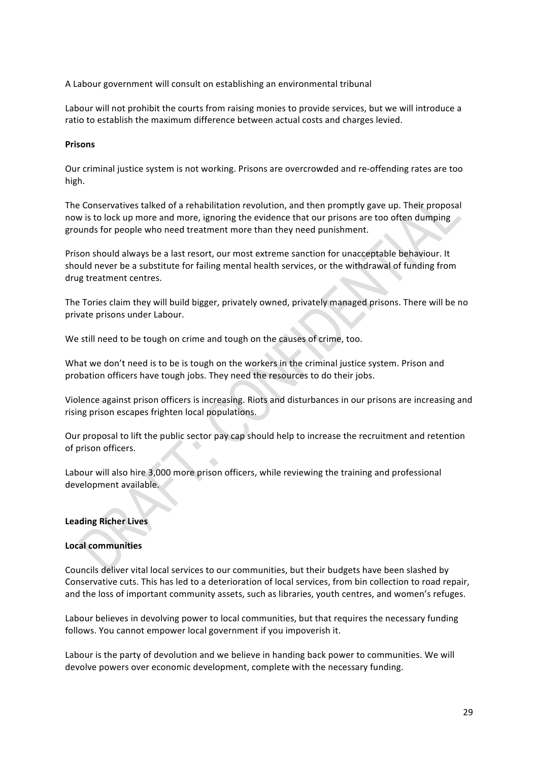A Labour government will consult on establishing an environmental tribunal

Labour will not prohibit the courts from raising monies to provide services, but we will introduce a ratio to establish the maximum difference between actual costs and charges levied.

## **Prisons**

Our criminal justice system is not working. Prisons are overcrowded and re-offending rates are too high. 

The Conservatives talked of a rehabilitation revolution, and then promptly gave up. Their proposal now is to lock up more and more, ignoring the evidence that our prisons are too often dumping grounds for people who need treatment more than they need punishment.

Prison should always be a last resort, our most extreme sanction for unacceptable behaviour. It should never be a substitute for failing mental health services, or the withdrawal of funding from drug treatment centres.

The Tories claim they will build bigger, privately owned, privately managed prisons. There will be no private prisons under Labour.

We still need to be tough on crime and tough on the causes of crime, too.

What we don't need is to be is tough on the workers in the criminal justice system. Prison and probation officers have tough jobs. They need the resources to do their jobs.

Violence against prison officers is increasing. Riots and disturbances in our prisons are increasing and rising prison escapes frighten local populations.

Our proposal to lift the public sector pay cap should help to increase the recruitment and retention of prison officers.

Labour will also hire 3,000 more prison officers, while reviewing the training and professional development available.

### **Leading Richer Lives**

### **Local communities**

Councils deliver vital local services to our communities, but their budgets have been slashed by Conservative cuts. This has led to a deterioration of local services, from bin collection to road repair. and the loss of important community assets, such as libraries, youth centres, and women's refuges.

Labour believes in devolving power to local communities, but that requires the necessary funding follows. You cannot empower local government if you impoverish it.

Labour is the party of devolution and we believe in handing back power to communities. We will devolve powers over economic development, complete with the necessary funding.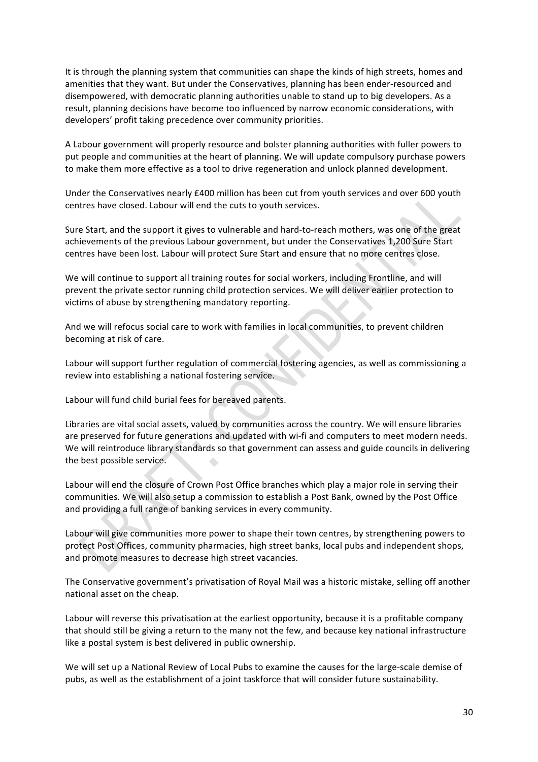It is through the planning system that communities can shape the kinds of high streets, homes and amenities that they want. But under the Conservatives, planning has been ender-resourced and disempowered, with democratic planning authorities unable to stand up to big developers. As a result, planning decisions have become too influenced by narrow economic considerations, with developers' profit taking precedence over community priorities.

A Labour government will properly resource and bolster planning authorities with fuller powers to put people and communities at the heart of planning. We will update compulsory purchase powers to make them more effective as a tool to drive regeneration and unlock planned development.

Under the Conservatives nearly £400 million has been cut from youth services and over 600 youth centres have closed. Labour will end the cuts to youth services.

Sure Start, and the support it gives to vulnerable and hard-to-reach mothers, was one of the great achievements of the previous Labour government, but under the Conservatives 1,200 Sure Start centres have been lost. Labour will protect Sure Start and ensure that no more centres close.

We will continue to support all training routes for social workers, including Frontline, and will prevent the private sector running child protection services. We will deliver earlier protection to victims of abuse by strengthening mandatory reporting.

And we will refocus social care to work with families in local communities, to prevent children becoming at risk of care.

Labour will support further regulation of commercial fostering agencies, as well as commissioning a review into establishing a national fostering service.

Labour will fund child burial fees for bereaved parents.

Libraries are vital social assets, valued by communities across the country. We will ensure libraries are preserved for future generations and updated with wi-fi and computers to meet modern needs. We will reintroduce library standards so that government can assess and guide councils in delivering the best possible service.

Labour will end the closure of Crown Post Office branches which play a major role in serving their communities. We will also setup a commission to establish a Post Bank, owned by the Post Office and providing a full range of banking services in every community.

Labour will give communities more power to shape their town centres, by strengthening powers to protect Post Offices, community pharmacies, high street banks, local pubs and independent shops, and promote measures to decrease high street vacancies.

The Conservative government's privatisation of Royal Mail was a historic mistake, selling off another national asset on the cheap.

Labour will reverse this privatisation at the earliest opportunity, because it is a profitable company that should still be giving a return to the many not the few, and because key national infrastructure like a postal system is best delivered in public ownership.

We will set up a National Review of Local Pubs to examine the causes for the large-scale demise of pubs, as well as the establishment of a joint taskforce that will consider future sustainability.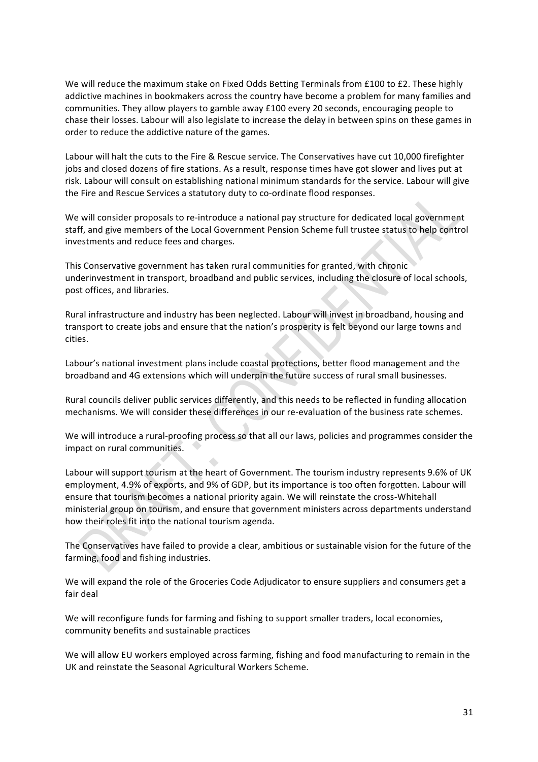We will reduce the maximum stake on Fixed Odds Betting Terminals from £100 to £2. These highly addictive machines in bookmakers across the country have become a problem for many families and communities. They allow players to gamble away £100 every 20 seconds, encouraging people to chase their losses. Labour will also legislate to increase the delay in between spins on these games in order to reduce the addictive nature of the games.

Labour will halt the cuts to the Fire & Rescue service. The Conservatives have cut 10,000 firefighter jobs and closed dozens of fire stations. As a result, response times have got slower and lives put at risk. Labour will consult on establishing national minimum standards for the service. Labour will give the Fire and Rescue Services a statutory duty to co-ordinate flood responses.

We will consider proposals to re-introduce a national pay structure for dedicated local government staff, and give members of the Local Government Pension Scheme full trustee status to help control investments and reduce fees and charges.

This Conservative government has taken rural communities for granted, with chronic underinvestment in transport, broadband and public services, including the closure of local schools, post offices, and libraries.

Rural infrastructure and industry has been neglected. Labour will invest in broadband, housing and transport to create jobs and ensure that the nation's prosperity is felt beyond our large towns and cities. 

Labour's national investment plans include coastal protections, better flood management and the broadband and 4G extensions which will underpin the future success of rural small businesses.

Rural councils deliver public services differently, and this needs to be reflected in funding allocation mechanisms. We will consider these differences in our re-evaluation of the business rate schemes.

We will introduce a rural-proofing process so that all our laws, policies and programmes consider the impact on rural communities.

Labour will support tourism at the heart of Government. The tourism industry represents 9.6% of UK employment, 4.9% of exports, and 9% of GDP, but its importance is too often forgotten. Labour will ensure that tourism becomes a national priority again. We will reinstate the cross-Whitehall ministerial group on tourism, and ensure that government ministers across departments understand how their roles fit into the national tourism agenda.

The Conservatives have failed to provide a clear, ambitious or sustainable vision for the future of the farming, food and fishing industries.

We will expand the role of the Groceries Code Adjudicator to ensure suppliers and consumers get a fair deal

We will reconfigure funds for farming and fishing to support smaller traders, local economies, community benefits and sustainable practices

We will allow EU workers employed across farming, fishing and food manufacturing to remain in the UK and reinstate the Seasonal Agricultural Workers Scheme.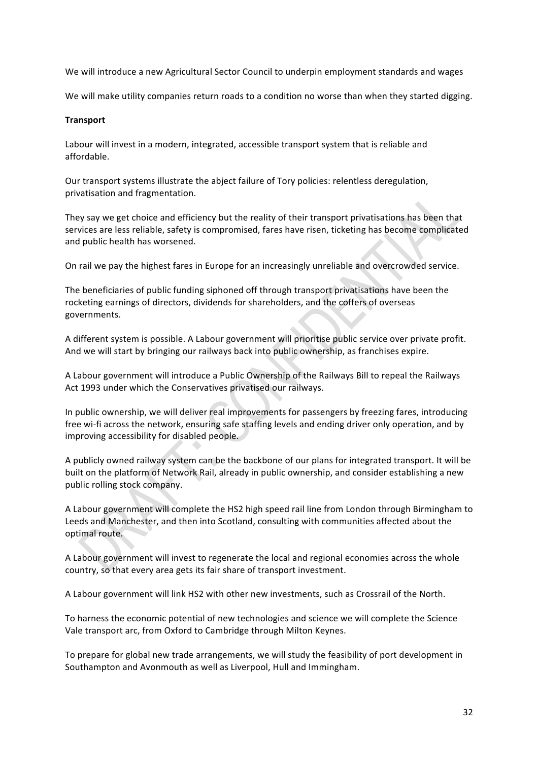We will introduce a new Agricultural Sector Council to underpin employment standards and wages

We will make utility companies return roads to a condition no worse than when they started digging.

### **Transport**

Labour will invest in a modern, integrated, accessible transport system that is reliable and affordable.

Our transport systems illustrate the abject failure of Tory policies: relentless deregulation, privatisation and fragmentation.

They say we get choice and efficiency but the reality of their transport privatisations has been that services are less reliable, safety is compromised, fares have risen, ticketing has become complicated and public health has worsened.

On rail we pay the highest fares in Europe for an increasingly unreliable and overcrowded service.

The beneficiaries of public funding siphoned off through transport privatisations have been the rocketing earnings of directors, dividends for shareholders, and the coffers of overseas governments.

A different system is possible. A Labour government will prioritise public service over private profit. And we will start by bringing our railways back into public ownership, as franchises expire.

A Labour government will introduce a Public Ownership of the Railways Bill to repeal the Railways Act 1993 under which the Conservatives privatised our railways.

In public ownership, we will deliver real improvements for passengers by freezing fares, introducing free wi-fi across the network, ensuring safe staffing levels and ending driver only operation, and by improving accessibility for disabled people.

A publicly owned railway system can be the backbone of our plans for integrated transport. It will be built on the platform of Network Rail, already in public ownership, and consider establishing a new public rolling stock company.

A Labour government will complete the HS2 high speed rail line from London through Birmingham to Leeds and Manchester, and then into Scotland, consulting with communities affected about the optimal route.

A Labour government will invest to regenerate the local and regional economies across the whole country, so that every area gets its fair share of transport investment.

A Labour government will link HS2 with other new investments, such as Crossrail of the North.

To harness the economic potential of new technologies and science we will complete the Science Vale transport arc, from Oxford to Cambridge through Milton Keynes.

To prepare for global new trade arrangements, we will study the feasibility of port development in Southampton and Avonmouth as well as Liverpool, Hull and Immingham.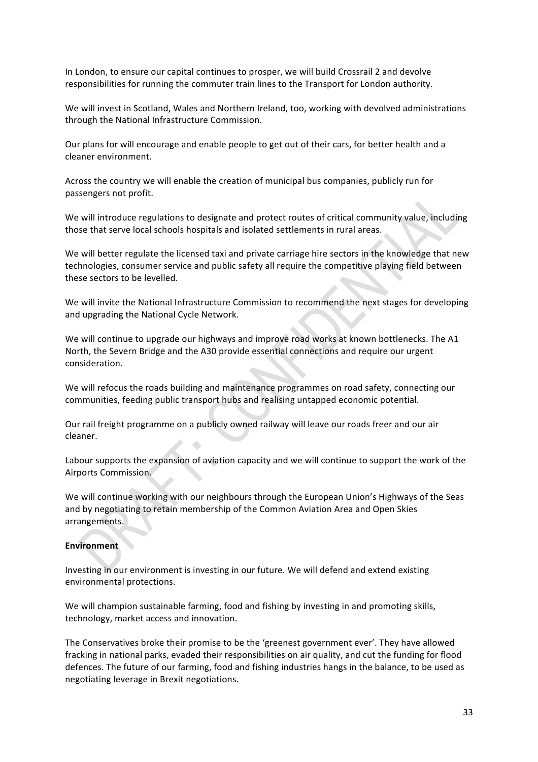In London, to ensure our capital continues to prosper, we will build Crossrail 2 and devolve responsibilities for running the commuter train lines to the Transport for London authority.

We will invest in Scotland, Wales and Northern Ireland, too, working with devolved administrations through the National Infrastructure Commission.

Our plans for will encourage and enable people to get out of their cars, for better health and a cleaner environment.

Across the country we will enable the creation of municipal bus companies, publicly run for passengers not profit.

We will introduce regulations to designate and protect routes of critical community value, including those that serve local schools hospitals and isolated settlements in rural areas.

We will better regulate the licensed taxi and private carriage hire sectors in the knowledge that new technologies, consumer service and public safety all require the competitive playing field between these sectors to be levelled.

We will invite the National Infrastructure Commission to recommend the next stages for developing and upgrading the National Cycle Network.

We will continue to upgrade our highways and improve road works at known bottlenecks. The A1 North, the Severn Bridge and the A30 provide essential connections and require our urgent consideration. 

We will refocus the roads building and maintenance programmes on road safety, connecting our communities, feeding public transport hubs and realising untapped economic potential.

Our rail freight programme on a publicly owned railway will leave our roads freer and our air cleaner.

Labour supports the expansion of aviation capacity and we will continue to support the work of the Airports Commission.

We will continue working with our neighbours through the European Union's Highways of the Seas and by negotiating to retain membership of the Common Aviation Area and Open Skies arrangements.

### **Environment**

Investing in our environment is investing in our future. We will defend and extend existing environmental protections.

We will champion sustainable farming, food and fishing by investing in and promoting skills, technology, market access and innovation.

The Conservatives broke their promise to be the 'greenest government ever'. They have allowed fracking in national parks, evaded their responsibilities on air quality, and cut the funding for flood defences. The future of our farming, food and fishing industries hangs in the balance, to be used as negotiating leverage in Brexit negotiations.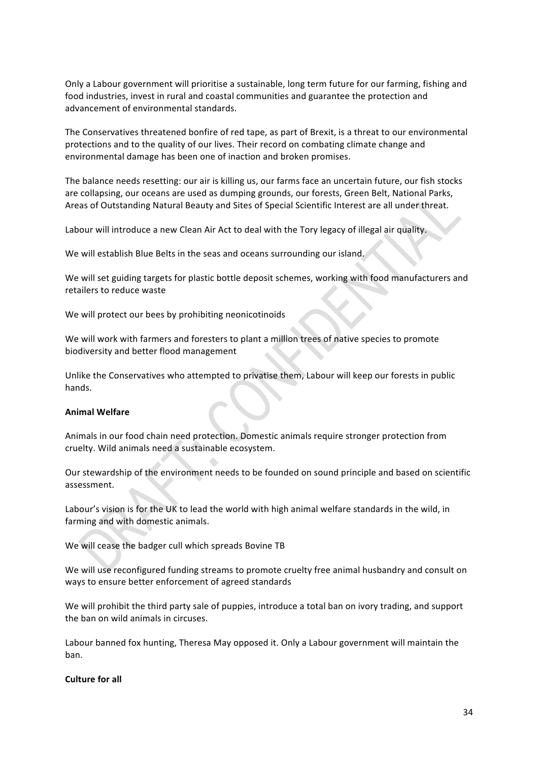Only a Labour government will prioritise a sustainable, long term future for our farming, fishing and food industries, invest in rural and coastal communities and guarantee the protection and advancement of environmental standards.

The Conservatives threatened bonfire of red tape, as part of Brexit, is a threat to our environmental protections and to the quality of our lives. Their record on combating climate change and environmental damage has been one of inaction and broken promises.

The balance needs resetting: our air is killing us, our farms face an uncertain future, our fish stocks are collapsing, our oceans are used as dumping grounds, our forests, Green Belt, National Parks, Areas of Outstanding Natural Beauty and Sites of Special Scientific Interest are all under threat.

Labour will introduce a new Clean Air Act to deal with the Tory legacy of illegal air quality.

We will establish Blue Belts in the seas and oceans surrounding our island.

We will set guiding targets for plastic bottle deposit schemes, working with food manufacturers and retailers to reduce waste

We will protect our bees by prohibiting neonicotinoids

We will work with farmers and foresters to plant a million trees of native species to promote biodiversity and better flood management

Unlike the Conservatives who attempted to privatise them, Labour will keep our forests in public hands.

## **Animal Welfare**

Animals in our food chain need protection. Domestic animals require stronger protection from cruelty. Wild animals need a sustainable ecosystem.

Our stewardship of the environment needs to be founded on sound principle and based on scientific assessment.

Labour's vision is for the UK to lead the world with high animal welfare standards in the wild, in farming and with domestic animals.

We will cease the badger cull which spreads Bovine TB

We will use reconfigured funding streams to promote cruelty free animal husbandry and consult on ways to ensure better enforcement of agreed standards

We will prohibit the third party sale of puppies, introduce a total ban on ivory trading, and support the ban on wild animals in circuses.

Labour banned fox hunting, Theresa May opposed it. Only a Labour government will maintain the ban. 

### **Culture for all**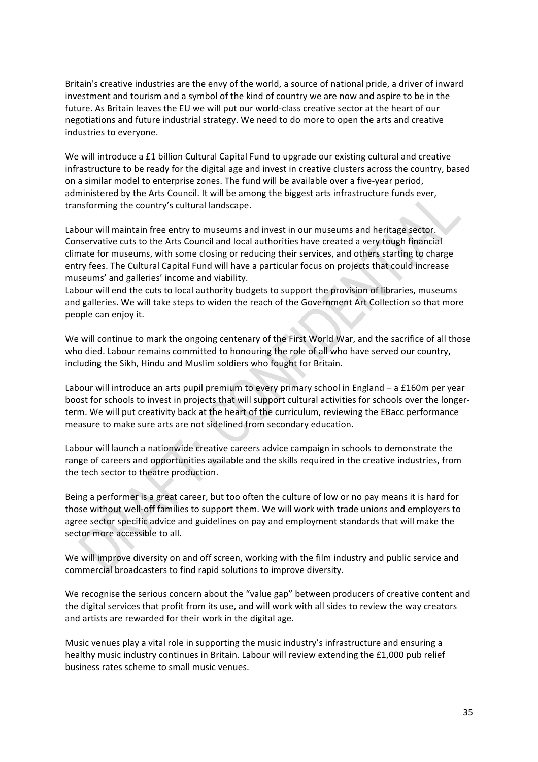Britain's creative industries are the envy of the world, a source of national pride, a driver of inward investment and tourism and a symbol of the kind of country we are now and aspire to be in the future. As Britain leaves the EU we will put our world-class creative sector at the heart of our negotiations and future industrial strategy. We need to do more to open the arts and creative industries to everyone.

We will introduce a £1 billion Cultural Capital Fund to upgrade our existing cultural and creative infrastructure to be ready for the digital age and invest in creative clusters across the country, based on a similar model to enterprise zones. The fund will be available over a five-year period, administered by the Arts Council. It will be among the biggest arts infrastructure funds ever, transforming the country's cultural landscape.

Labour will maintain free entry to museums and invest in our museums and heritage sector. Conservative cuts to the Arts Council and local authorities have created a very tough financial climate for museums, with some closing or reducing their services, and others starting to charge entry fees. The Cultural Capital Fund will have a particular focus on projects that could increase museums' and galleries' income and viability.

Labour will end the cuts to local authority budgets to support the provision of libraries, museums and galleries. We will take steps to widen the reach of the Government Art Collection so that more people can enjoy it.

We will continue to mark the ongoing centenary of the First World War, and the sacrifice of all those who died. Labour remains committed to honouring the role of all who have served our country, including the Sikh, Hindu and Muslim soldiers who fought for Britain.

Labour will introduce an arts pupil premium to every primary school in England – a £160m per year boost for schools to invest in projects that will support cultural activities for schools over the longerterm. We will put creativity back at the heart of the curriculum, reviewing the EBacc performance measure to make sure arts are not sidelined from secondary education.

Labour will launch a nationwide creative careers advice campaign in schools to demonstrate the range of careers and opportunities available and the skills required in the creative industries, from the tech sector to theatre production.

Being a performer is a great career, but too often the culture of low or no pay means it is hard for those without well-off families to support them. We will work with trade unions and employers to agree sector specific advice and guidelines on pay and employment standards that will make the sector more accessible to all.

We will improve diversity on and off screen, working with the film industry and public service and commercial broadcasters to find rapid solutions to improve diversity.

We recognise the serious concern about the "value gap" between producers of creative content and the digital services that profit from its use, and will work with all sides to review the way creators and artists are rewarded for their work in the digital age.

Music venues play a vital role in supporting the music industry's infrastructure and ensuring a healthy music industry continues in Britain. Labour will review extending the £1,000 pub relief business rates scheme to small music venues.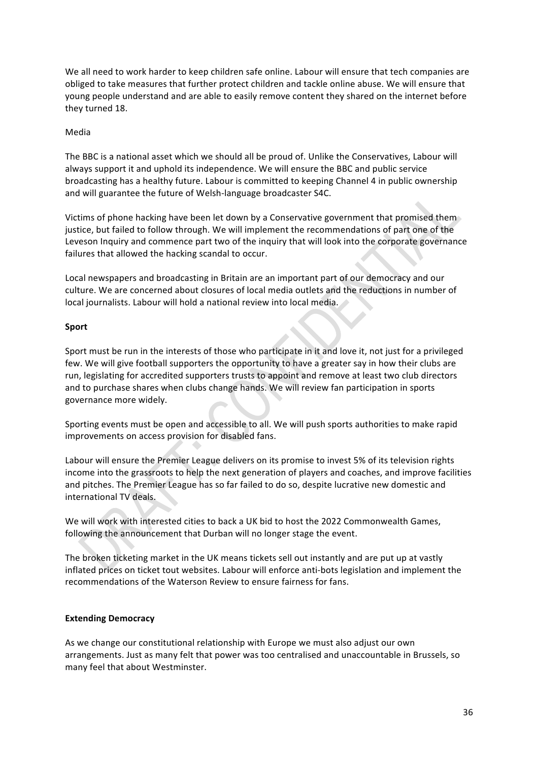We all need to work harder to keep children safe online. Labour will ensure that tech companies are obliged to take measures that further protect children and tackle online abuse. We will ensure that young people understand and are able to easily remove content they shared on the internet before they turned 18.

## Media

The BBC is a national asset which we should all be proud of. Unlike the Conservatives, Labour will always support it and uphold its independence. We will ensure the BBC and public service broadcasting has a healthy future. Labour is committed to keeping Channel 4 in public ownership and will guarantee the future of Welsh-language broadcaster S4C.

Victims of phone hacking have been let down by a Conservative government that promised them justice, but failed to follow through. We will implement the recommendations of part one of the Leveson Inquiry and commence part two of the inquiry that will look into the corporate governance failures that allowed the hacking scandal to occur.

Local newspapers and broadcasting in Britain are an important part of our democracy and our culture. We are concerned about closures of local media outlets and the reductions in number of local journalists. Labour will hold a national review into local media.

### **Sport**

Sport must be run in the interests of those who participate in it and love it, not just for a privileged few. We will give football supporters the opportunity to have a greater say in how their clubs are run, legislating for accredited supporters trusts to appoint and remove at least two club directors and to purchase shares when clubs change hands. We will review fan participation in sports governance more widely.

Sporting events must be open and accessible to all. We will push sports authorities to make rapid improvements on access provision for disabled fans.

Labour will ensure the Premier League delivers on its promise to invest 5% of its television rights income into the grassroots to help the next generation of players and coaches, and improve facilities and pitches. The Premier League has so far failed to do so, despite lucrative new domestic and international TV deals.

We will work with interested cities to back a UK bid to host the 2022 Commonwealth Games, following the announcement that Durban will no longer stage the event.

The broken ticketing market in the UK means tickets sell out instantly and are put up at vastly inflated prices on ticket tout websites. Labour will enforce anti-bots legislation and implement the recommendations of the Waterson Review to ensure fairness for fans.

### **Extending Democracy**

As we change our constitutional relationship with Europe we must also adjust our own arrangements. Just as many felt that power was too centralised and unaccountable in Brussels, so many feel that about Westminster.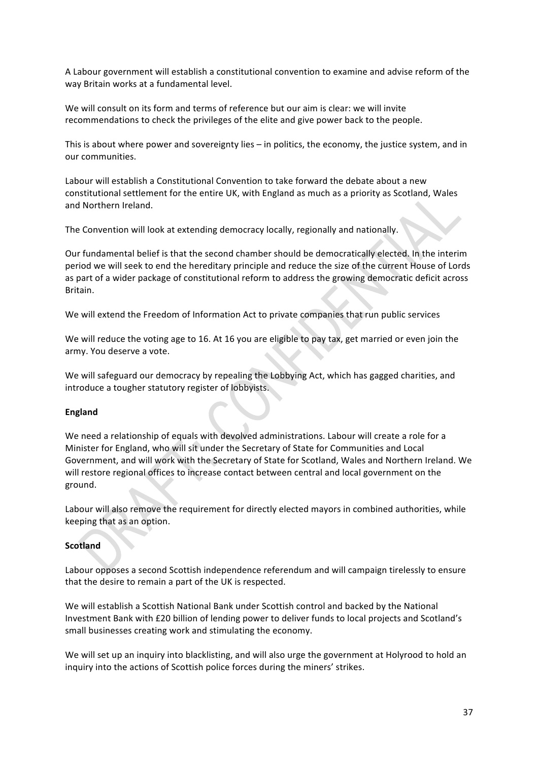A Labour government will establish a constitutional convention to examine and advise reform of the way Britain works at a fundamental level.

We will consult on its form and terms of reference but our aim is clear: we will invite recommendations to check the privileges of the elite and give power back to the people.

This is about where power and sovereignty lies  $-$  in politics, the economy, the justice system, and in our communities.

Labour will establish a Constitutional Convention to take forward the debate about a new constitutional settlement for the entire UK, with England as much as a priority as Scotland, Wales and Northern Ireland.

The Convention will look at extending democracy locally, regionally and nationally.

Our fundamental belief is that the second chamber should be democratically elected. In the interim period we will seek to end the hereditary principle and reduce the size of the current House of Lords as part of a wider package of constitutional reform to address the growing democratic deficit across Britain.

We will extend the Freedom of Information Act to private companies that run public services

We will reduce the voting age to 16. At 16 you are eligible to pay tax, get married or even join the army. You deserve a vote.

We will safeguard our democracy by repealing the Lobbying Act, which has gagged charities, and introduce a tougher statutory register of lobbyists.

### **England**

We need a relationship of equals with devolved administrations. Labour will create a role for a Minister for England, who will sit under the Secretary of State for Communities and Local Government, and will work with the Secretary of State for Scotland, Wales and Northern Ireland. We will restore regional offices to increase contact between central and local government on the ground.

Labour will also remove the requirement for directly elected mayors in combined authorities, while keeping that as an option.

### **Scotland**

Labour opposes a second Scottish independence referendum and will campaign tirelessly to ensure that the desire to remain a part of the UK is respected.

We will establish a Scottish National Bank under Scottish control and backed by the National Investment Bank with £20 billion of lending power to deliver funds to local projects and Scotland's small businesses creating work and stimulating the economy.

We will set up an inquiry into blacklisting, and will also urge the government at Holyrood to hold an inquiry into the actions of Scottish police forces during the miners' strikes.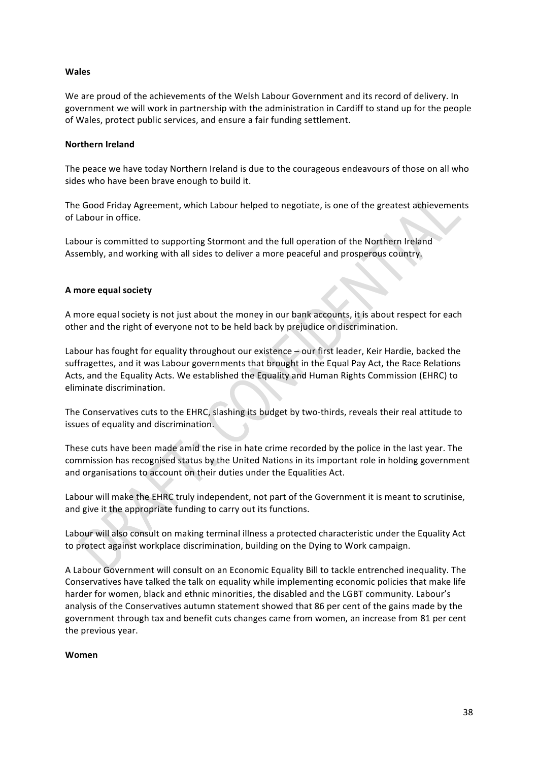## **Wales**

We are proud of the achievements of the Welsh Labour Government and its record of delivery. In government we will work in partnership with the administration in Cardiff to stand up for the people of Wales, protect public services, and ensure a fair funding settlement.

### **Northern Ireland**

The peace we have today Northern Ireland is due to the courageous endeavours of those on all who sides who have been brave enough to build it.

The Good Friday Agreement, which Labour helped to negotiate, is one of the greatest achievements of Labour in office.

Labour is committed to supporting Stormont and the full operation of the Northern Ireland Assembly, and working with all sides to deliver a more peaceful and prosperous country.

### **A more equal society**

A more equal society is not just about the money in our bank accounts, it is about respect for each other and the right of everyone not to be held back by prejudice or discrimination.

Labour has fought for equality throughout our existence  $-$  our first leader, Keir Hardie, backed the suffragettes, and it was Labour governments that brought in the Equal Pay Act, the Race Relations Acts, and the Equality Acts. We established the Equality and Human Rights Commission (EHRC) to eliminate discrimination.

The Conservatives cuts to the EHRC, slashing its budget by two-thirds, reveals their real attitude to issues of equality and discrimination.

These cuts have been made amid the rise in hate crime recorded by the police in the last year. The commission has recognised status by the United Nations in its important role in holding government and organisations to account on their duties under the Equalities Act.

Labour will make the EHRC truly independent, not part of the Government it is meant to scrutinise, and give it the appropriate funding to carry out its functions.

Labour will also consult on making terminal illness a protected characteristic under the Equality Act to protect against workplace discrimination, building on the Dying to Work campaign.

A Labour Government will consult on an Economic Equality Bill to tackle entrenched inequality. The Conservatives have talked the talk on equality while implementing economic policies that make life harder for women, black and ethnic minorities, the disabled and the LGBT community. Labour's analysis of the Conservatives autumn statement showed that 86 per cent of the gains made by the government through tax and benefit cuts changes came from women, an increase from 81 per cent the previous year.

### **Women**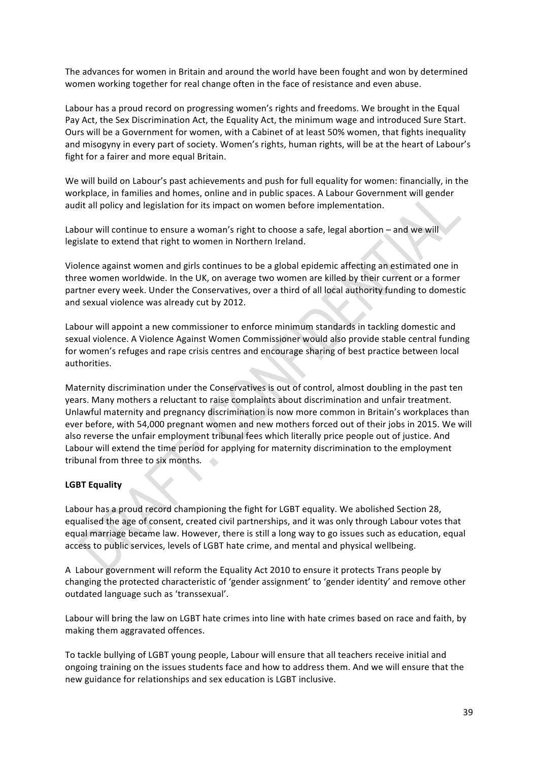The advances for women in Britain and around the world have been fought and won by determined women working together for real change often in the face of resistance and even abuse.

Labour has a proud record on progressing women's rights and freedoms. We brought in the Equal Pay Act, the Sex Discrimination Act, the Equality Act, the minimum wage and introduced Sure Start. Ours will be a Government for women, with a Cabinet of at least 50% women, that fights inequality and misogyny in every part of society. Women's rights, human rights, will be at the heart of Labour's fight for a fairer and more equal Britain.

We will build on Labour's past achievements and push for full equality for women: financially, in the workplace, in families and homes, online and in public spaces. A Labour Government will gender audit all policy and legislation for its impact on women before implementation.

Labour will continue to ensure a woman's right to choose a safe, legal abortion – and we will legislate to extend that right to women in Northern Ireland.

Violence against women and girls continues to be a global epidemic affecting an estimated one in three women worldwide. In the UK, on average two women are killed by their current or a former partner every week. Under the Conservatives, over a third of all local authority funding to domestic and sexual violence was already cut by 2012.

Labour will appoint a new commissioner to enforce minimum standards in tackling domestic and sexual violence. A Violence Against Women Commissioner would also provide stable central funding for women's refuges and rape crisis centres and encourage sharing of best practice between local authorities.

Maternity discrimination under the Conservatives is out of control, almost doubling in the past ten years. Many mothers a reluctant to raise complaints about discrimination and unfair treatment. Unlawful maternity and pregnancy discrimination is now more common in Britain's workplaces than ever before, with 54,000 pregnant women and new mothers forced out of their jobs in 2015. We will also reverse the unfair employment tribunal fees which literally price people out of justice. And Labour will extend the time period for applying for maternity discrimination to the employment tribunal from three to six months.

### **LGBT** Equality

Labour has a proud record championing the fight for LGBT equality. We abolished Section 28, equalised the age of consent, created civil partnerships, and it was only through Labour votes that equal marriage became law. However, there is still a long way to go issues such as education, equal access to public services, levels of LGBT hate crime, and mental and physical wellbeing.

A Labour government will reform the Equality Act 2010 to ensure it protects Trans people by changing the protected characteristic of 'gender assignment' to 'gender identity' and remove other outdated language such as 'transsexual'.

Labour will bring the law on LGBT hate crimes into line with hate crimes based on race and faith, by making them aggravated offences.

To tackle bullying of LGBT young people, Labour will ensure that all teachers receive initial and ongoing training on the issues students face and how to address them. And we will ensure that the new guidance for relationships and sex education is LGBT inclusive.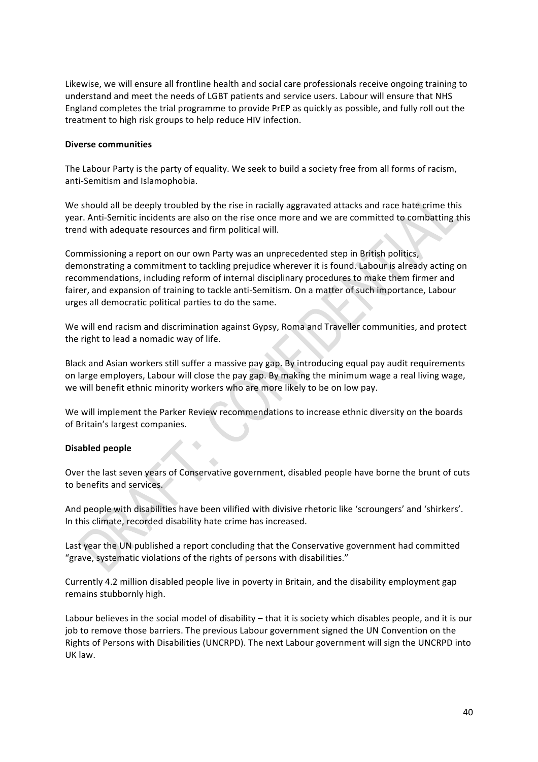Likewise, we will ensure all frontline health and social care professionals receive ongoing training to understand and meet the needs of LGBT patients and service users. Labour will ensure that NHS England completes the trial programme to provide PrEP as quickly as possible, and fully roll out the treatment to high risk groups to help reduce HIV infection.

### **Diverse communities**

The Labour Party is the party of equality. We seek to build a society free from all forms of racism, anti-Semitism and Islamophobia.

We should all be deeply troubled by the rise in racially aggravated attacks and race hate crime this year. Anti-Semitic incidents are also on the rise once more and we are committed to combatting this trend with adequate resources and firm political will.

Commissioning a report on our own Party was an unprecedented step in British politics, demonstrating a commitment to tackling prejudice wherever it is found. Labour is already acting on recommendations, including reform of internal disciplinary procedures to make them firmer and fairer, and expansion of training to tackle anti-Semitism. On a matter of such importance, Labour urges all democratic political parties to do the same.

We will end racism and discrimination against Gypsy, Roma and Traveller communities, and protect the right to lead a nomadic way of life.

Black and Asian workers still suffer a massive pay gap. By introducing equal pay audit requirements on large employers, Labour will close the pay gap. By making the minimum wage a real living wage, we will benefit ethnic minority workers who are more likely to be on low pay.

We will implement the Parker Review recommendations to increase ethnic diversity on the boards of Britain's largest companies.

### **Disabled people**

Over the last seven years of Conservative government, disabled people have borne the brunt of cuts to benefits and services.

And people with disabilities have been vilified with divisive rhetoric like 'scroungers' and 'shirkers'. In this climate, recorded disability hate crime has increased.

Last year the UN published a report concluding that the Conservative government had committed "grave, systematic violations of the rights of persons with disabilities."

Currently 4.2 million disabled people live in poverty in Britain, and the disability employment gap remains stubbornly high.

Labour believes in the social model of disability – that it is society which disables people, and it is our job to remove those barriers. The previous Labour government signed the UN Convention on the Rights of Persons with Disabilities (UNCRPD). The next Labour government will sign the UNCRPD into UK law.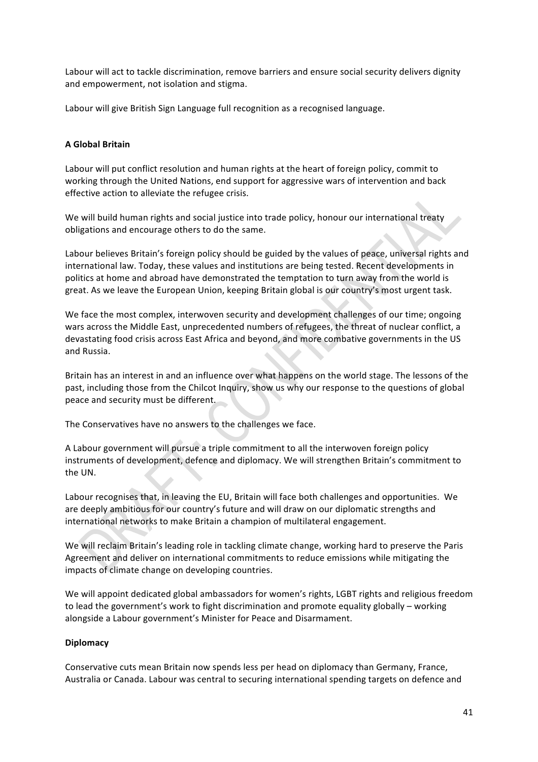Labour will act to tackle discrimination, remove barriers and ensure social security delivers dignity and empowerment, not isolation and stigma.

Labour will give British Sign Language full recognition as a recognised language.

### **A Global Britain**

Labour will put conflict resolution and human rights at the heart of foreign policy, commit to working through the United Nations, end support for aggressive wars of intervention and back effective action to alleviate the refugee crisis.

We will build human rights and social justice into trade policy, honour our international treaty obligations and encourage others to do the same.

Labour believes Britain's foreign policy should be guided by the values of peace, universal rights and international law. Today, these values and institutions are being tested. Recent developments in politics at home and abroad have demonstrated the temptation to turn away from the world is great. As we leave the European Union, keeping Britain global is our country's most urgent task.

We face the most complex, interwoven security and development challenges of our time; ongoing wars across the Middle East, unprecedented numbers of refugees, the threat of nuclear conflict, a devastating food crisis across East Africa and beyond, and more combative governments in the US and Russia.

Britain has an interest in and an influence over what happens on the world stage. The lessons of the past, including those from the Chilcot Inquiry, show us why our response to the questions of global peace and security must be different.

The Conservatives have no answers to the challenges we face.

A Labour government will pursue a triple commitment to all the interwoven foreign policy instruments of development, defence and diplomacy. We will strengthen Britain's commitment to the UN.

Labour recognises that, in leaving the EU, Britain will face both challenges and opportunities. We are deeply ambitious for our country's future and will draw on our diplomatic strengths and international networks to make Britain a champion of multilateral engagement.

We will reclaim Britain's leading role in tackling climate change, working hard to preserve the Paris Agreement and deliver on international commitments to reduce emissions while mitigating the impacts of climate change on developing countries.

We will appoint dedicated global ambassadors for women's rights, LGBT rights and religious freedom to lead the government's work to fight discrimination and promote equality globally – working alongside a Labour government's Minister for Peace and Disarmament.

#### **Diplomacy**

Conservative cuts mean Britain now spends less per head on diplomacy than Germany, France, Australia or Canada. Labour was central to securing international spending targets on defence and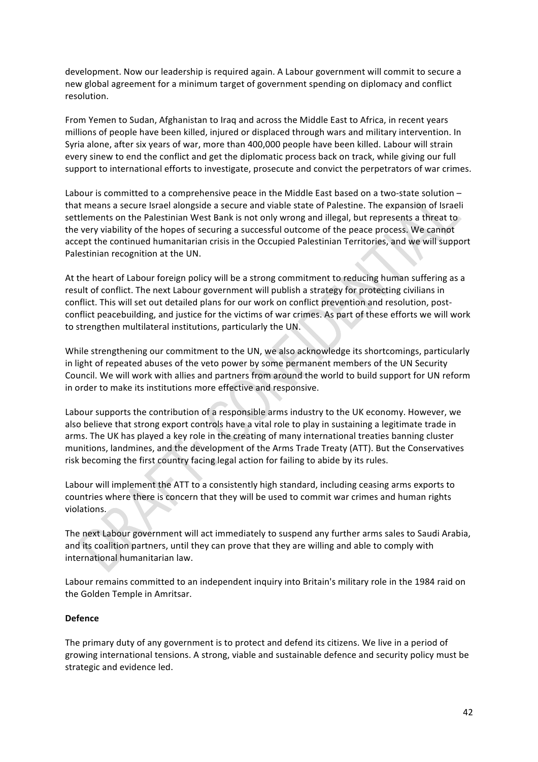development. Now our leadership is required again. A Labour government will commit to secure a new global agreement for a minimum target of government spending on diplomacy and conflict resolution. 

From Yemen to Sudan, Afghanistan to Iraq and across the Middle East to Africa, in recent years millions of people have been killed, injured or displaced through wars and military intervention. In Syria alone, after six years of war, more than 400,000 people have been killed. Labour will strain every sinew to end the conflict and get the diplomatic process back on track, while giving our full support to international efforts to investigate, prosecute and convict the perpetrators of war crimes.

Labour is committed to a comprehensive peace in the Middle East based on a two-state solution  $$ that means a secure Israel alongside a secure and viable state of Palestine. The expansion of Israeli settlements on the Palestinian West Bank is not only wrong and illegal, but represents a threat to the very viability of the hopes of securing a successful outcome of the peace process. We cannot accept the continued humanitarian crisis in the Occupied Palestinian Territories, and we will support Palestinian recognition at the UN.

At the heart of Labour foreign policy will be a strong commitment to reducing human suffering as a result of conflict. The next Labour government will publish a strategy for protecting civilians in conflict. This will set out detailed plans for our work on conflict prevention and resolution, postconflict peacebuilding, and justice for the victims of war crimes. As part of these efforts we will work to strengthen multilateral institutions, particularly the UN.

While strengthening our commitment to the UN, we also acknowledge its shortcomings, particularly in light of repeated abuses of the veto power by some permanent members of the UN Security Council. We will work with allies and partners from around the world to build support for UN reform in order to make its institutions more effective and responsive.

Labour supports the contribution of a responsible arms industry to the UK economy. However, we also believe that strong export controls have a vital role to play in sustaining a legitimate trade in arms. The UK has played a key role in the creating of many international treaties banning cluster munitions, landmines, and the development of the Arms Trade Treaty (ATT). But the Conservatives risk becoming the first country facing legal action for failing to abide by its rules.

Labour will implement the ATT to a consistently high standard, including ceasing arms exports to countries where there is concern that they will be used to commit war crimes and human rights violations. 

The next Labour government will act immediately to suspend any further arms sales to Saudi Arabia, and its coalition partners, until they can prove that they are willing and able to comply with international humanitarian law.

Labour remains committed to an independent inquiry into Britain's military role in the 1984 raid on the Golden Temple in Amritsar.

### **Defence**

The primary duty of any government is to protect and defend its citizens. We live in a period of growing international tensions. A strong, viable and sustainable defence and security policy must be strategic and evidence led.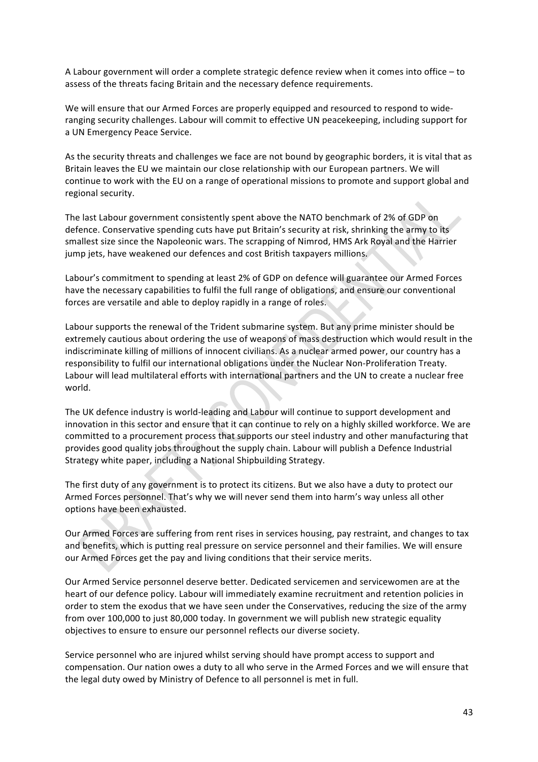A Labour government will order a complete strategic defence review when it comes into office  $-$  to assess of the threats facing Britain and the necessary defence requirements.

We will ensure that our Armed Forces are properly equipped and resourced to respond to wideranging security challenges. Labour will commit to effective UN peacekeeping, including support for a UN Emergency Peace Service.

As the security threats and challenges we face are not bound by geographic borders, it is vital that as Britain leaves the EU we maintain our close relationship with our European partners. We will continue to work with the EU on a range of operational missions to promote and support global and regional security.

The last Labour government consistently spent above the NATO benchmark of 2% of GDP on defence. Conservative spending cuts have put Britain's security at risk, shrinking the army to its smallest size since the Napoleonic wars. The scrapping of Nimrod, HMS Ark Royal and the Harrier jump jets, have weakened our defences and cost British taxpayers millions.

Labour's commitment to spending at least 2% of GDP on defence will guarantee our Armed Forces have the necessary capabilities to fulfil the full range of obligations, and ensure our conventional forces are versatile and able to deploy rapidly in a range of roles.

Labour supports the renewal of the Trident submarine system. But any prime minister should be extremely cautious about ordering the use of weapons of mass destruction which would result in the indiscriminate killing of millions of innocent civilians. As a nuclear armed power, our country has a responsibility to fulfil our international obligations under the Nuclear Non-Proliferation Treaty. Labour will lead multilateral efforts with international partners and the UN to create a nuclear free world. 

The UK defence industry is world-leading and Labour will continue to support development and innovation in this sector and ensure that it can continue to rely on a highly skilled workforce. We are committed to a procurement process that supports our steel industry and other manufacturing that provides good quality jobs throughout the supply chain. Labour will publish a Defence Industrial Strategy white paper, including a National Shipbuilding Strategy.

The first duty of any government is to protect its citizens. But we also have a duty to protect our Armed Forces personnel. That's why we will never send them into harm's way unless all other options have been exhausted.

Our Armed Forces are suffering from rent rises in services housing, pay restraint, and changes to tax and benefits, which is putting real pressure on service personnel and their families. We will ensure our Armed Forces get the pay and living conditions that their service merits.

Our Armed Service personnel deserve better. Dedicated servicemen and servicewomen are at the heart of our defence policy. Labour will immediately examine recruitment and retention policies in order to stem the exodus that we have seen under the Conservatives, reducing the size of the army from over 100,000 to just 80,000 today. In government we will publish new strategic equality objectives to ensure to ensure our personnel reflects our diverse society.

Service personnel who are injured whilst serving should have prompt access to support and compensation. Our nation owes a duty to all who serve in the Armed Forces and we will ensure that the legal duty owed by Ministry of Defence to all personnel is met in full.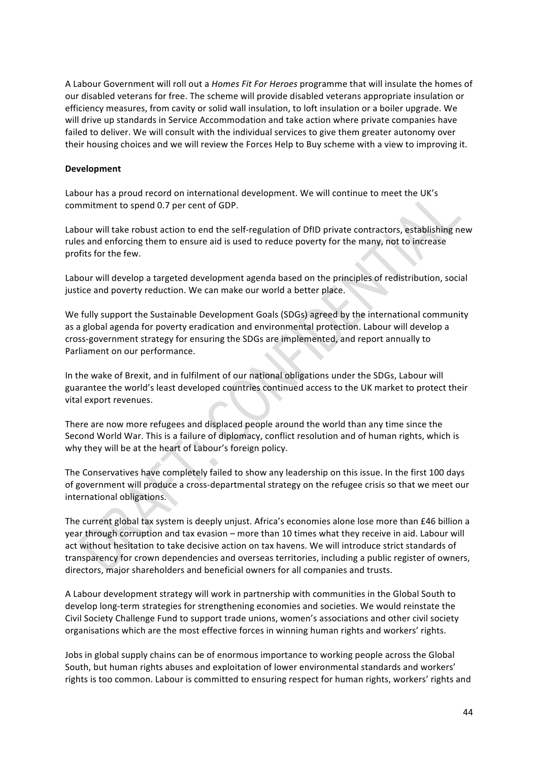A Labour Government will roll out a *Homes Fit For Heroes* programme that will insulate the homes of our disabled veterans for free. The scheme will provide disabled veterans appropriate insulation or efficiency measures, from cavity or solid wall insulation, to loft insulation or a boiler upgrade. We will drive up standards in Service Accommodation and take action where private companies have failed to deliver. We will consult with the individual services to give them greater autonomy over their housing choices and we will review the Forces Help to Buy scheme with a view to improving it.

## **Development**

Labour has a proud record on international development. We will continue to meet the UK's commitment to spend 0.7 per cent of GDP.

Labour will take robust action to end the self-regulation of DfID private contractors, establishing new rules and enforcing them to ensure aid is used to reduce poverty for the many, not to increase profits for the few.

Labour will develop a targeted development agenda based on the principles of redistribution, social justice and poverty reduction. We can make our world a better place.

We fully support the Sustainable Development Goals (SDGs) agreed by the international community as a global agenda for poverty eradication and environmental protection. Labour will develop a cross-government strategy for ensuring the SDGs are implemented, and report annually to Parliament on our performance.

In the wake of Brexit, and in fulfilment of our national obligations under the SDGs, Labour will guarantee the world's least developed countries continued access to the UK market to protect their vital export revenues.

There are now more refugees and displaced people around the world than any time since the Second World War. This is a failure of diplomacy, conflict resolution and of human rights, which is why they will be at the heart of Labour's foreign policy.

The Conservatives have completely failed to show any leadership on this issue. In the first 100 days of government will produce a cross-departmental strategy on the refugee crisis so that we meet our international obligations.

The current global tax system is deeply unjust. Africa's economies alone lose more than £46 billion a year through corruption and tax evasion – more than 10 times what they receive in aid. Labour will act without hesitation to take decisive action on tax havens. We will introduce strict standards of transparency for crown dependencies and overseas territories, including a public register of owners, directors, major shareholders and beneficial owners for all companies and trusts.

A Labour development strategy will work in partnership with communities in the Global South to develop long-term strategies for strengthening economies and societies. We would reinstate the Civil Society Challenge Fund to support trade unions, women's associations and other civil society organisations which are the most effective forces in winning human rights and workers' rights.

Jobs in global supply chains can be of enormous importance to working people across the Global South, but human rights abuses and exploitation of lower environmental standards and workers' rights is too common. Labour is committed to ensuring respect for human rights, workers' rights and